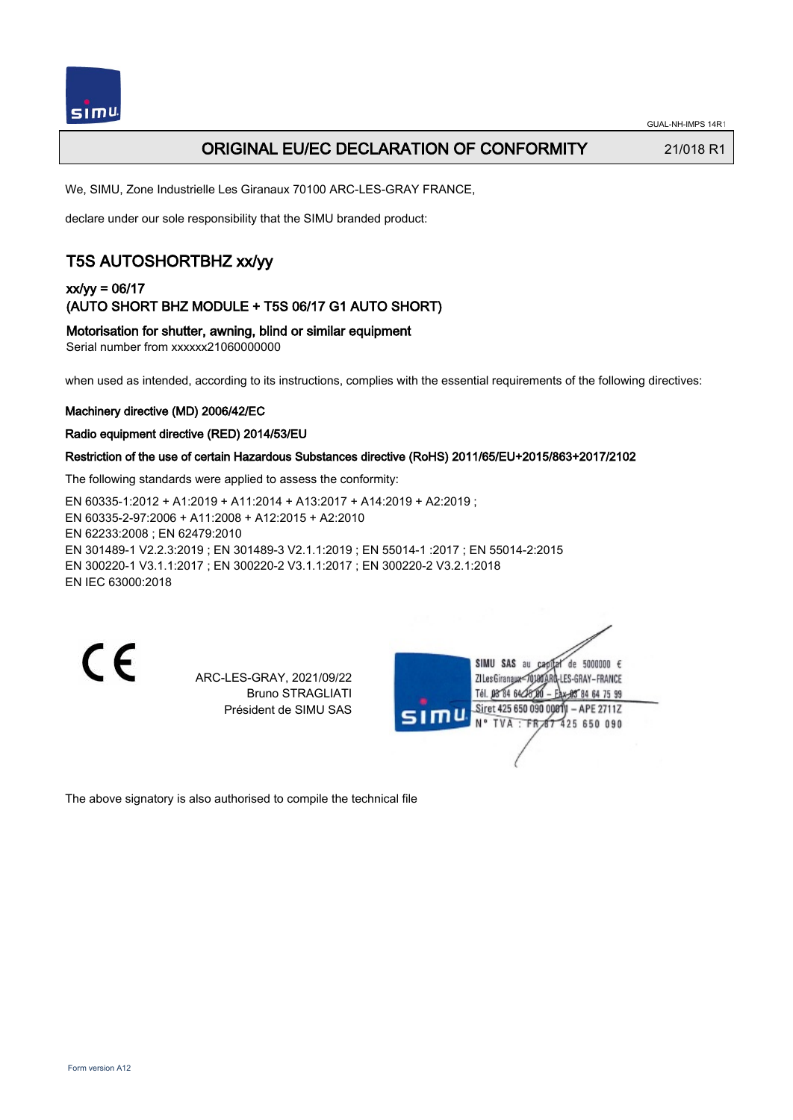

### ORIGINAL EU/EC DECLARATION OF CONFORMITY 21/018 R1

We, SIMU, Zone Industrielle Les Giranaux 70100 ARC-LES-GRAY FRANCE,

declare under our sole responsibility that the SIMU branded product:

# T5S AUTOSHORTBHZ xx/yy

### xx/yy = 06/17 (AUTO SHORT BHZ MODULE + T5S 06/17 G1 AUTO SHORT)

Motorisation for shutter, awning, blind or similar equipment

Serial number from xxxxxx21060000000

when used as intended, according to its instructions, complies with the essential requirements of the following directives:

### Machinery directive (MD) 2006/42/EC

### Radio equipment directive (RED) 2014/53/EU

### Restriction of the use of certain Hazardous Substances directive (RoHS) 2011/65/EU+2015/863+2017/2102

The following standards were applied to assess the conformity:

EN 60335‑1:2012 + A1:2019 + A11:2014 + A13:2017 + A14:2019 + A2:2019 ; EN 60335‑2‑97:2006 + A11:2008 + A12:2015 + A2:2010 EN 62233:2008 ; EN 62479:2010 EN 301489‑1 V2.2.3:2019 ; EN 301489‑3 V2.1.1:2019 ; EN 55014‑1 :2017 ; EN 55014‑2:2015 EN 300220‑1 V3.1.1:2017 ; EN 300220‑2 V3.1.1:2017 ; EN 300220‑2 V3.2.1:2018 EN IEC 63000:2018

 $\epsilon$ 

ARC-LES-GRAY, 2021/09/22 Bruno STRAGLIATI Président de SIMU SAS

SIMU SAS au de 5000000  $\epsilon$ ZI Les Giranaux=70180ARQ-LES-GRAY-FRANCE Tél. 08 84 64 28 584 64 75 99 Siret 425 650 090 00811 - APE 2711Z TVA: FR 67 425 650 090

The above signatory is also authorised to compile the technical file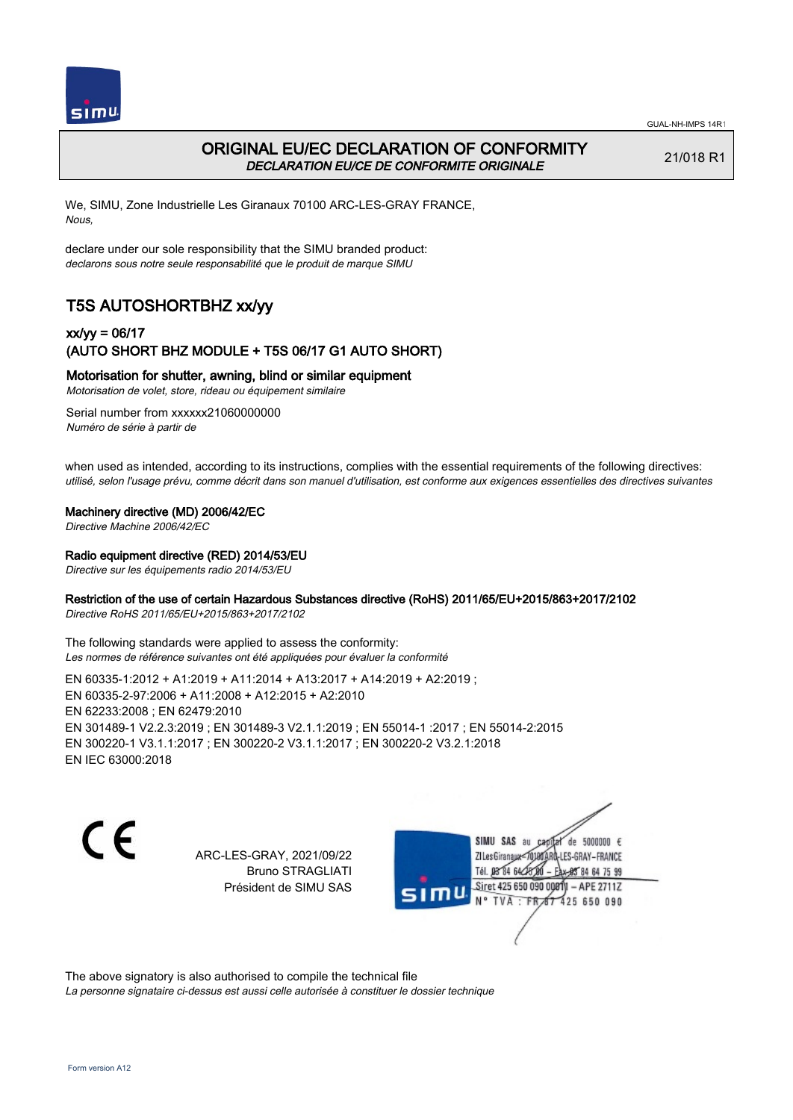



## ORIGINAL EU/EC DECLARATION OF CONFORMITY DECLARATION EU/CE DE CONFORMITE ORIGINALE

21/018 R1

We, SIMU, Zone Industrielle Les Giranaux 70100 ARC-LES-GRAY FRANCE, Nous,

declare under our sole responsibility that the SIMU branded product: declarons sous notre seule responsabilité que le produit de marque SIMU

# T5S AUTOSHORTBHZ xx/yy

### xx/yy = 06/17 (AUTO SHORT BHZ MODULE + T5S 06/17 G1 AUTO SHORT)

Motorisation for shutter, awning, blind or similar equipment

Motorisation de volet, store, rideau ou équipement similaire

Serial number from xxxxxx21060000000 Numéro de série à partir de

when used as intended, according to its instructions, complies with the essential requirements of the following directives: utilisé, selon l'usage prévu, comme décrit dans son manuel d'utilisation, est conforme aux exigences essentielles des directives suivantes

### Machinery directive (MD) 2006/42/EC

Directive Machine 2006/42/EC

#### Radio equipment directive (RED) 2014/53/EU

Directive sur les équipements radio 2014/53/EU

### Restriction of the use of certain Hazardous Substances directive (RoHS) 2011/65/EU+2015/863+2017/2102

Directive RoHS 2011/65/EU+2015/863+2017/2102

The following standards were applied to assess the conformity: Les normes de référence suivantes ont été appliquées pour évaluer la conformité

EN 60335‑1:2012 + A1:2019 + A11:2014 + A13:2017 + A14:2019 + A2:2019 ; EN 60335‑2‑97:2006 + A11:2008 + A12:2015 + A2:2010 EN 62233:2008 ; EN 62479:2010 EN 301489‑1 V2.2.3:2019 ; EN 301489‑3 V2.1.1:2019 ; EN 55014‑1 :2017 ; EN 55014‑2:2015 EN 300220‑1 V3.1.1:2017 ; EN 300220‑2 V3.1.1:2017 ; EN 300220‑2 V3.2.1:2018 EN IEC 63000:2018

C E

ARC-LES-GRAY, 2021/09/22 Bruno STRAGLIATI Président de SIMU SAS

de 5000000  $\epsilon$ SIMU SAS au ZI Les Giranaux<sup>2</sup> ES-GRAY-FRANCE Tél. 08 84 64 2 64 75 99 Siret 425 650 090 00811  $-$  APF 27117 125 650 090

The above signatory is also authorised to compile the technical file

La personne signataire ci-dessus est aussi celle autorisée à constituer le dossier technique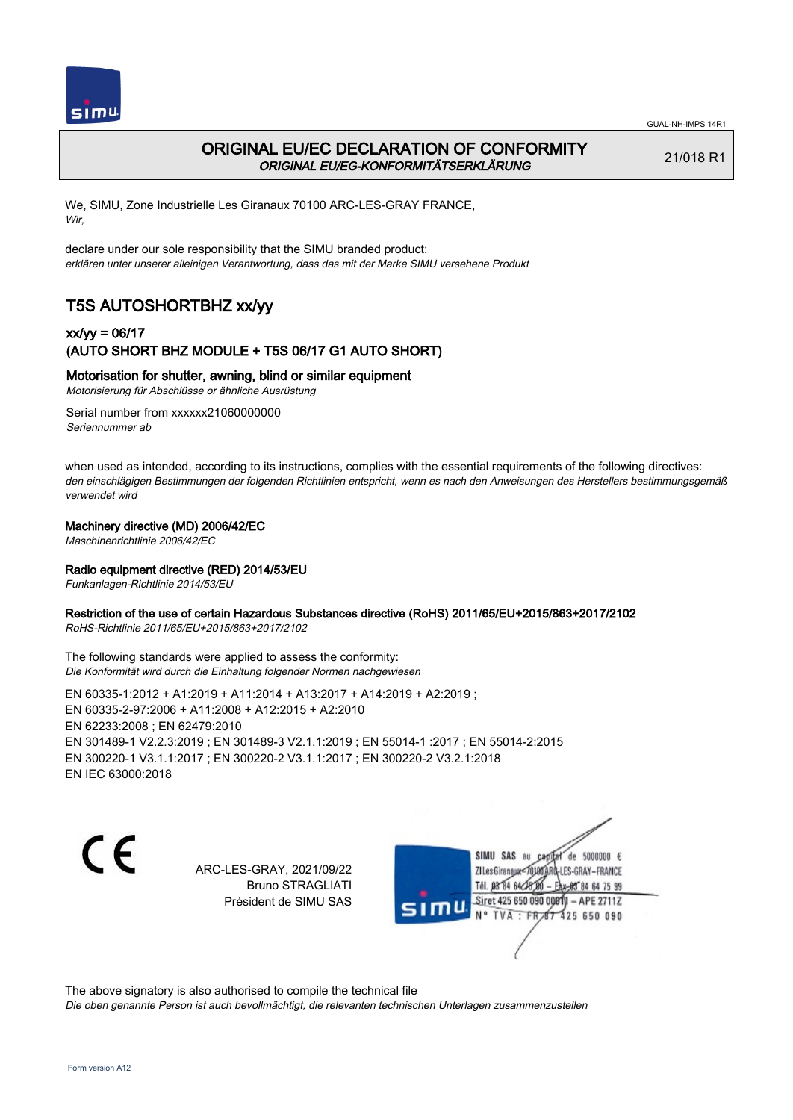



### ORIGINAL EU/EC DECLARATION OF CONFORMITY ORIGINAL EU/EG-KONFORMITÄTSERKLÄRUNG

21/018 R1

We, SIMU, Zone Industrielle Les Giranaux 70100 ARC-LES-GRAY FRANCE, Wir,

declare under our sole responsibility that the SIMU branded product: erklären unter unserer alleinigen Verantwortung, dass das mit der Marke SIMU versehene Produkt

# T5S AUTOSHORTBHZ xx/yy

### xx/yy = 06/17 (AUTO SHORT BHZ MODULE + T5S 06/17 G1 AUTO SHORT)

### Motorisation for shutter, awning, blind or similar equipment

Motorisierung für Abschlüsse or ähnliche Ausrüstung

Serial number from xxxxxx21060000000 Seriennummer ab

when used as intended, according to its instructions, complies with the essential requirements of the following directives: den einschlägigen Bestimmungen der folgenden Richtlinien entspricht, wenn es nach den Anweisungen des Herstellers bestimmungsgemäß verwendet wird

### Machinery directive (MD) 2006/42/EC

Maschinenrichtlinie 2006/42/EC

### Radio equipment directive (RED) 2014/53/EU

Funkanlagen-Richtlinie 2014/53/EU

### Restriction of the use of certain Hazardous Substances directive (RoHS) 2011/65/EU+2015/863+2017/2102

RoHS-Richtlinie 2011/65/EU+2015/863+2017/2102

The following standards were applied to assess the conformity: Die Konformität wird durch die Einhaltung folgender Normen nachgewiesen

EN 60335‑1:2012 + A1:2019 + A11:2014 + A13:2017 + A14:2019 + A2:2019 ; EN 60335‑2‑97:2006 + A11:2008 + A12:2015 + A2:2010 EN 62233:2008 ; EN 62479:2010 EN 301489‑1 V2.2.3:2019 ; EN 301489‑3 V2.1.1:2019 ; EN 55014‑1 :2017 ; EN 55014‑2:2015 EN 300220‑1 V3.1.1:2017 ; EN 300220‑2 V3.1.1:2017 ; EN 300220‑2 V3.2.1:2018 EN IEC 63000:2018

C E

ARC-LES-GRAY, 2021/09/22 Bruno STRAGLIATI Président de SIMU SAS

de 5000000  $\epsilon$ SIMU SAS au ZI Les Giranauxe LES-GRAY-FRANCE Tél. 08 84 64 24 95 84 64 75 99 Siret 425 650 090 00811 - APE 2711Z  $TVA$  : FRAT 425 650 090

The above signatory is also authorised to compile the technical file

Die oben genannte Person ist auch bevollmächtigt, die relevanten technischen Unterlagen zusammenzustellen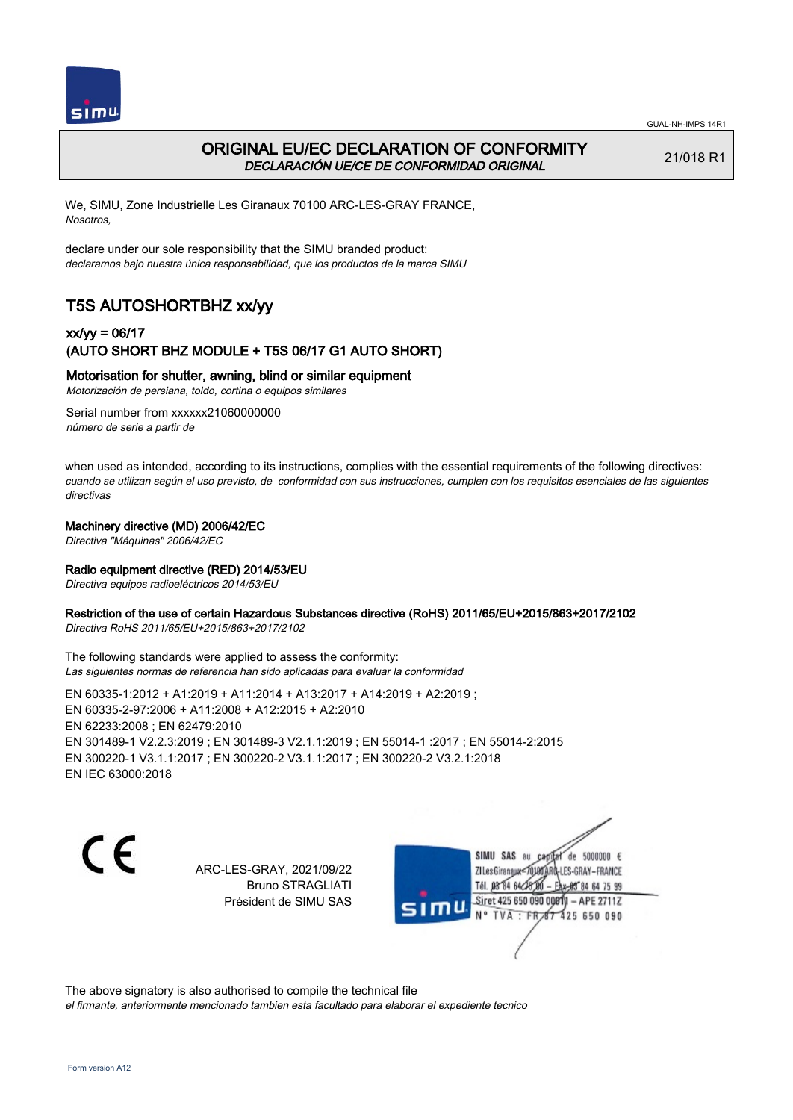



## ORIGINAL EU/EC DECLARATION OF CONFORMITY DECLARACIÓN UE/CE DE CONFORMIDAD ORIGINAL

21/018 R1

We, SIMU, Zone Industrielle Les Giranaux 70100 ARC-LES-GRAY FRANCE, Nosotros,

declare under our sole responsibility that the SIMU branded product: declaramos bajo nuestra única responsabilidad, que los productos de la marca SIMU

# T5S AUTOSHORTBHZ xx/yy

### xx/yy = 06/17 (AUTO SHORT BHZ MODULE + T5S 06/17 G1 AUTO SHORT)

### Motorisation for shutter, awning, blind or similar equipment

Motorización de persiana, toldo, cortina o equipos similares

Serial number from xxxxxx21060000000 número de serie a partir de

when used as intended, according to its instructions, complies with the essential requirements of the following directives: cuando se utilizan según el uso previsto, de conformidad con sus instrucciones, cumplen con los requisitos esenciales de las siguientes directivas

### Machinery directive (MD) 2006/42/EC

Directiva "Máquinas" 2006/42/EC

#### Radio equipment directive (RED) 2014/53/EU

Directiva equipos radioeléctricos 2014/53/EU

#### Restriction of the use of certain Hazardous Substances directive (RoHS) 2011/65/EU+2015/863+2017/2102

Directiva RoHS 2011/65/EU+2015/863+2017/2102

The following standards were applied to assess the conformity: Las siguientes normas de referencia han sido aplicadas para evaluar la conformidad

EN 60335‑1:2012 + A1:2019 + A11:2014 + A13:2017 + A14:2019 + A2:2019 ; EN 60335‑2‑97:2006 + A11:2008 + A12:2015 + A2:2010 EN 62233:2008 ; EN 62479:2010 EN 301489‑1 V2.2.3:2019 ; EN 301489‑3 V2.1.1:2019 ; EN 55014‑1 :2017 ; EN 55014‑2:2015 EN 300220‑1 V3.1.1:2017 ; EN 300220‑2 V3.1.1:2017 ; EN 300220‑2 V3.2.1:2018 EN IEC 63000:2018

C E

ARC-LES-GRAY, 2021/09/22 Bruno STRAGLIATI Président de SIMU SAS

de 5000000  $\epsilon$ SIMU SAS au ZI Les Giranaux< LES-GRAY-FRANCE Tél. 08 84 64 24 95 84 64 75 99 Siret 425 650 090 00811 - APE 2711Z TVA: FR 67 425 650 090

The above signatory is also authorised to compile the technical file el firmante, anteriormente mencionado tambien esta facultado para elaborar el expediente tecnico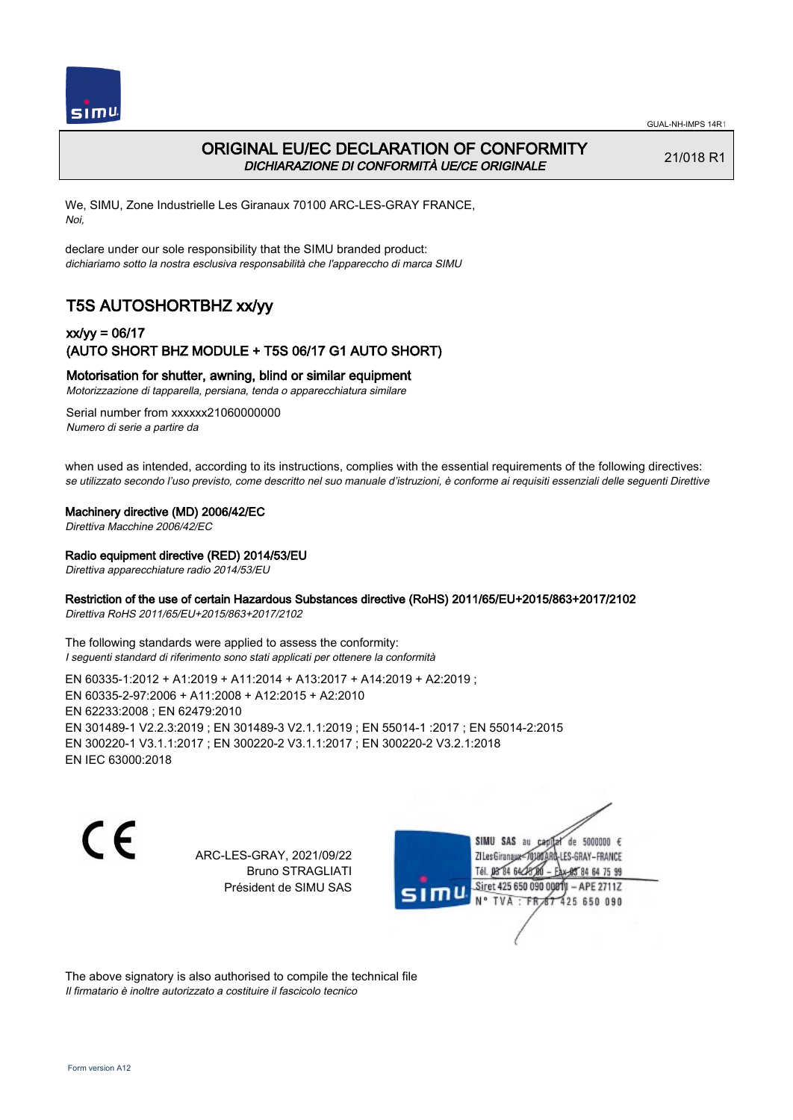

## ORIGINAL EU/EC DECLARATION OF CONFORMITY DICHIARAZIONE DI CONFORMITÀ UE/CE ORIGINALE

21/018 R1

We, SIMU, Zone Industrielle Les Giranaux 70100 ARC-LES-GRAY FRANCE, Noi,

declare under our sole responsibility that the SIMU branded product: dichiariamo sotto la nostra esclusiva responsabilità che l'appareccho di marca SIMU

# T5S AUTOSHORTBHZ xx/yy

### xx/yy = 06/17 (AUTO SHORT BHZ MODULE + T5S 06/17 G1 AUTO SHORT)

Motorisation for shutter, awning, blind or similar equipment

Motorizzazione di tapparella, persiana, tenda o apparecchiatura similare

Serial number from xxxxxx21060000000 Numero di serie a partire da

when used as intended, according to its instructions, complies with the essential requirements of the following directives: se utilizzato secondo l'uso previsto, come descritto nel suo manuale d'istruzioni, è conforme ai requisiti essenziali delle seguenti Direttive

#### Machinery directive (MD) 2006/42/EC

Direttiva Macchine 2006/42/EC

#### Radio equipment directive (RED) 2014/53/EU

Direttiva apparecchiature radio 2014/53/EU

### Restriction of the use of certain Hazardous Substances directive (RoHS) 2011/65/EU+2015/863+2017/2102

Direttiva RoHS 2011/65/EU+2015/863+2017/2102

The following standards were applied to assess the conformity: I seguenti standard di riferimento sono stati applicati per ottenere la conformità

EN 60335‑1:2012 + A1:2019 + A11:2014 + A13:2017 + A14:2019 + A2:2019 ; EN 60335‑2‑97:2006 + A11:2008 + A12:2015 + A2:2010 EN 62233:2008 ; EN 62479:2010 EN 301489‑1 V2.2.3:2019 ; EN 301489‑3 V2.1.1:2019 ; EN 55014‑1 :2017 ; EN 55014‑2:2015 EN 300220‑1 V3.1.1:2017 ; EN 300220‑2 V3.1.1:2017 ; EN 300220‑2 V3.2.1:2018 EN IEC 63000:2018

C E

ARC-LES-GRAY, 2021/09/22 Bruno STRAGLIATI Président de SIMU SAS

de 5000000  $\epsilon$ SIMU SAS au ZI Les Giranaux< ES-GRAY-FRANCE Tél. 08 84 64 2 64 75 99 Siret 425 650 090 00811  $-$  APF 27117 125 650 090

The above signatory is also authorised to compile the technical file Il firmatario è inoltre autorizzato a costituire il fascicolo tecnico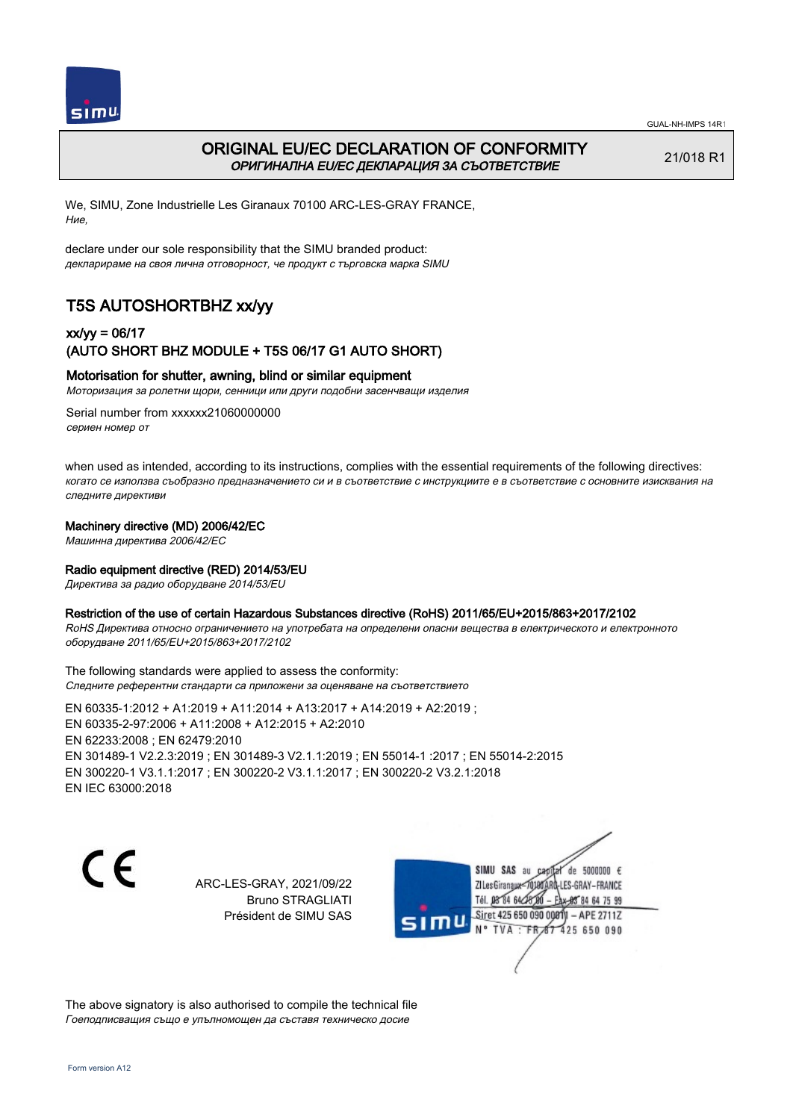



## ORIGINAL EU/EC DECLARATION OF CONFORMITY ОРИГИНАЛНА EU/EC ДЕКЛАРАЦИЯ ЗА СЪОТВЕТСТВИЕ

21/018 R1

We, SIMU, Zone Industrielle Les Giranaux 70100 ARC-LES-GRAY FRANCE, Ние,

declare under our sole responsibility that the SIMU branded product: декларираме на своя лична отговорност, че продукт с търговска марка SIMU

# T5S AUTOSHORTBHZ xx/yy

## xx/yy = 06/17 (AUTO SHORT BHZ MODULE + T5S 06/17 G1 AUTO SHORT)

### Motorisation for shutter, awning, blind or similar equipment

Моторизация за ролетни щори, сенници или други подобни засенчващи изделия

Serial number from xxxxxx21060000000 сериен номер от

when used as intended, according to its instructions, complies with the essential requirements of the following directives: когато се използва съобразно предназначението си и в съответствие с инструкциите е в съответствие с основните изисквания на следните директиви

#### Machinery directive (MD) 2006/42/EC

Машинна директива 2006/42/EC

#### Radio equipment directive (RED) 2014/53/EU

Директива за радио оборудване 2014/53/EU

#### Restriction of the use of certain Hazardous Substances directive (RoHS) 2011/65/EU+2015/863+2017/2102

RoHS Директива относно ограничението на употребата на определени опасни вещества в електрическото и електронното оборудване 2011/65/EU+2015/863+2017/2102

The following standards were applied to assess the conformity: Следните референтни стандарти са приложени за оценяване на съответствието

EN 60335‑1:2012 + A1:2019 + A11:2014 + A13:2017 + A14:2019 + A2:2019 ; EN 60335‑2‑97:2006 + A11:2008 + A12:2015 + A2:2010 EN 62233:2008 ; EN 62479:2010 EN 301489‑1 V2.2.3:2019 ; EN 301489‑3 V2.1.1:2019 ; EN 55014‑1 :2017 ; EN 55014‑2:2015 EN 300220‑1 V3.1.1:2017 ; EN 300220‑2 V3.1.1:2017 ; EN 300220‑2 V3.2.1:2018 EN IEC 63000:2018

CE

ARC-LES-GRAY, 2021/09/22 Bruno STRAGLIATI Président de SIMU SAS



The above signatory is also authorised to compile the technical file Гоеподписващия също е упълномощен да съставя техническо досие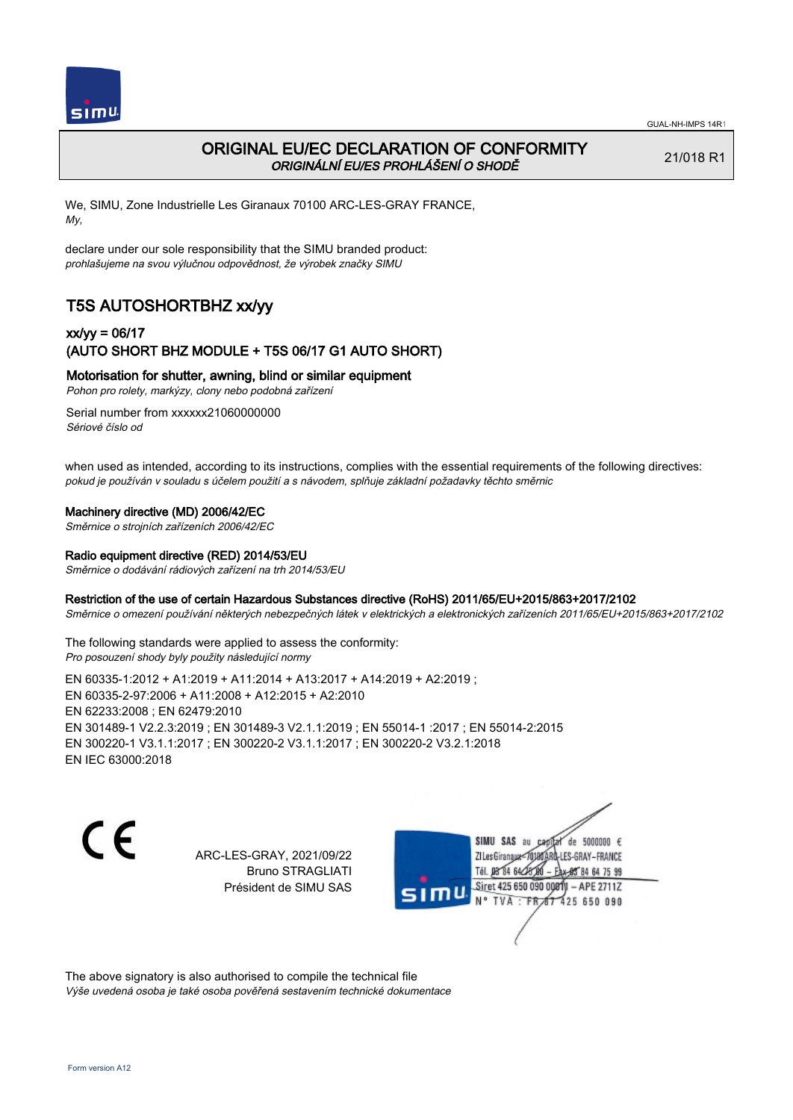

## ORIGINAL EU/EC DECLARATION OF CONFORMITY ORIGINÁLNÍ EU/ES PROHLÁŠENÍ O SHODĚ

21/018 R1

We, SIMU, Zone Industrielle Les Giranaux 70100 ARC-LES-GRAY FRANCE, My,

declare under our sole responsibility that the SIMU branded product: prohlašujeme na svou výlučnou odpovědnost, že výrobek značky SIMU

# T5S AUTOSHORTBHZ xx/yy

### xx/yy = 06/17 (AUTO SHORT BHZ MODULE + T5S 06/17 G1 AUTO SHORT)

Motorisation for shutter, awning, blind or similar equipment

Pohon pro rolety, markýzy, clony nebo podobná zařízení

Serial number from xxxxxx21060000000 Sériové číslo od

when used as intended, according to its instructions, complies with the essential requirements of the following directives: pokud je používán v souladu s účelem použití a s návodem, splňuje základní požadavky těchto směrnic

### Machinery directive (MD) 2006/42/EC

Směrnice o strojních zařízeních 2006/42/EC

### Radio equipment directive (RED) 2014/53/EU

Směrnice o dodávání rádiových zařízení na trh 2014/53/EU

#### Restriction of the use of certain Hazardous Substances directive (RoHS) 2011/65/EU+2015/863+2017/2102

Směrnice o omezení používání některých nebezpečných látek v elektrických a elektronických zařízeních 2011/65/EU+2015/863+2017/2102

The following standards were applied to assess the conformity: Pro posouzení shody byly použity následující normy

EN 60335‑1:2012 + A1:2019 + A11:2014 + A13:2017 + A14:2019 + A2:2019 ; EN 60335‑2‑97:2006 + A11:2008 + A12:2015 + A2:2010 EN 62233:2008 ; EN 62479:2010 EN 301489‑1 V2.2.3:2019 ; EN 301489‑3 V2.1.1:2019 ; EN 55014‑1 :2017 ; EN 55014‑2:2015 EN 300220‑1 V3.1.1:2017 ; EN 300220‑2 V3.1.1:2017 ; EN 300220‑2 V3.2.1:2018 EN IEC 63000:2018

C E

ARC-LES-GRAY, 2021/09/22 Bruno STRAGLIATI Président de SIMU SAS

de 5000000  $\epsilon$ SIMU SAS au ZI Les Giranaux</r0 ES-GRAY-FRANCE Tél. 08 R4 64 2 64 75 99 Siret 425 650 090 00811  $-$  APF 27117 125 650 090

The above signatory is also authorised to compile the technical file Výše uvedená osoba je také osoba pověřená sestavením technické dokumentace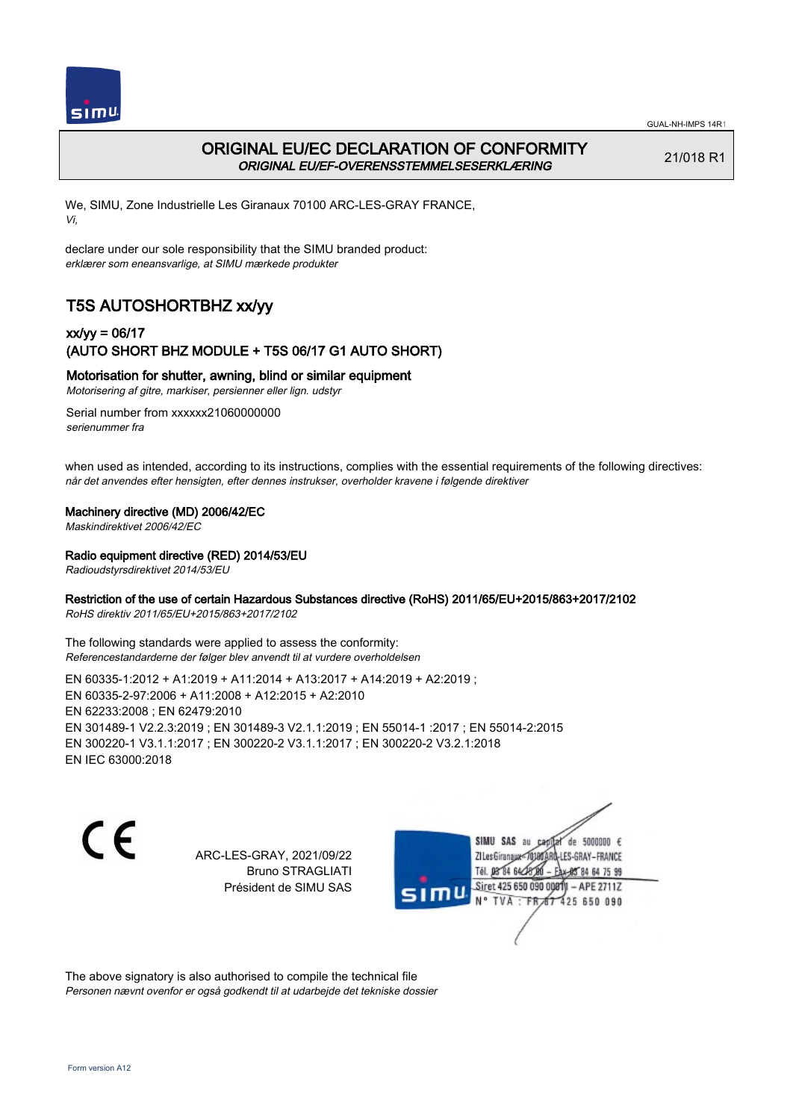



## ORIGINAL EU/EC DECLARATION OF CONFORMITY ORIGINAL EU/EF-OVERENSSTEMMELSESERKLÆRING

21/018 R1

We, SIMU, Zone Industrielle Les Giranaux 70100 ARC-LES-GRAY FRANCE, Vi,

declare under our sole responsibility that the SIMU branded product: erklærer som eneansvarlige, at SIMU mærkede produkter

# T5S AUTOSHORTBHZ xx/yy

### xx/yy = 06/17 (AUTO SHORT BHZ MODULE + T5S 06/17 G1 AUTO SHORT)

### Motorisation for shutter, awning, blind or similar equipment

Motorisering af gitre, markiser, persienner eller lign. udstyr

Serial number from xxxxxx21060000000 serienummer fra

when used as intended, according to its instructions, complies with the essential requirements of the following directives: når det anvendes efter hensigten, efter dennes instrukser, overholder kravene i følgende direktiver

### Machinery directive (MD) 2006/42/EC

Maskindirektivet 2006/42/EC

Radio equipment directive (RED) 2014/53/EU

Radioudstyrsdirektivet 2014/53/EU

### Restriction of the use of certain Hazardous Substances directive (RoHS) 2011/65/EU+2015/863+2017/2102

RoHS direktiv 2011/65/EU+2015/863+2017/2102

The following standards were applied to assess the conformity: Referencestandarderne der følger blev anvendt til at vurdere overholdelsen

EN 60335‑1:2012 + A1:2019 + A11:2014 + A13:2017 + A14:2019 + A2:2019 ; EN 60335‑2‑97:2006 + A11:2008 + A12:2015 + A2:2010 EN 62233:2008 ; EN 62479:2010 EN 301489‑1 V2.2.3:2019 ; EN 301489‑3 V2.1.1:2019 ; EN 55014‑1 :2017 ; EN 55014‑2:2015 EN 300220‑1 V3.1.1:2017 ; EN 300220‑2 V3.1.1:2017 ; EN 300220‑2 V3.2.1:2018 EN IEC 63000:2018

C E

ARC-LES-GRAY, 2021/09/22 Bruno STRAGLIATI Président de SIMU SAS

de 5000000  $\epsilon$ SIMU SAS au ZI Les Giranaux< LES-GRAY-FRANCE Tél. 08 84 64 2 64 75 99 Siret 425 650 090 00811  $-$  APF 27117 125 650 090

The above signatory is also authorised to compile the technical file Personen nævnt ovenfor er også godkendt til at udarbejde det tekniske dossier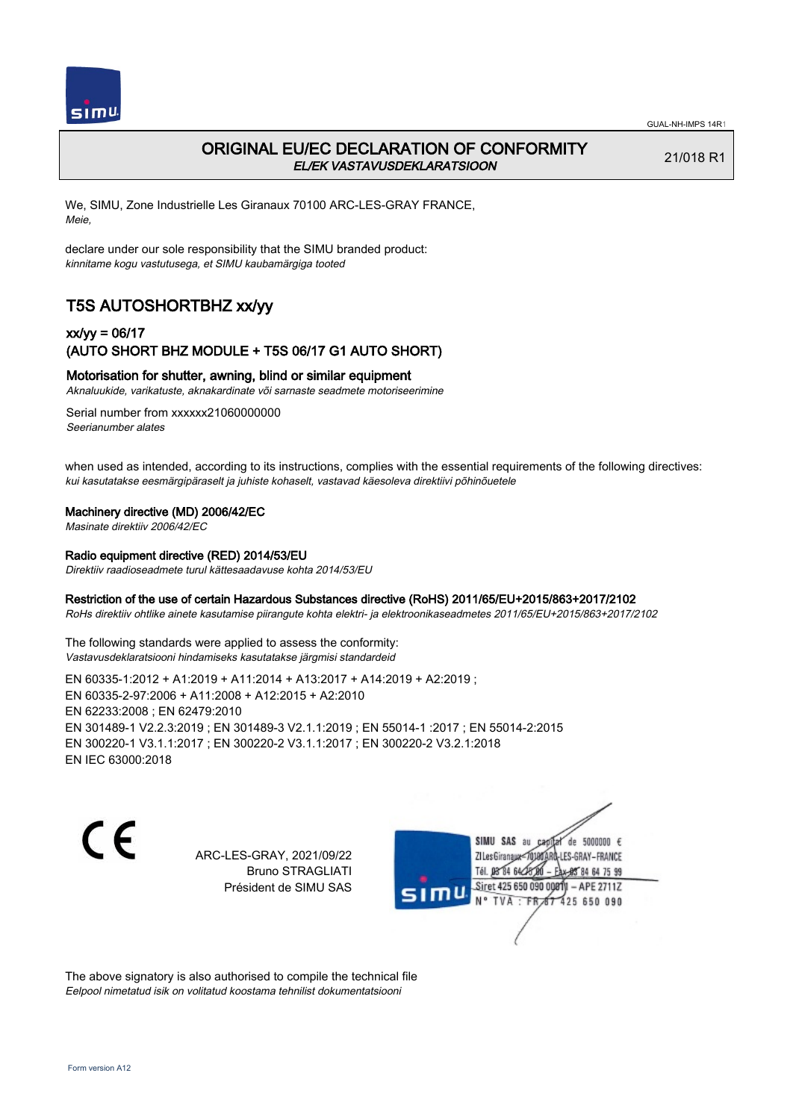

## ORIGINAL EU/EC DECLARATION OF CONFORMITY EL/EK VASTAVUSDEKLARATSIOON

21/018 R1

We, SIMU, Zone Industrielle Les Giranaux 70100 ARC-LES-GRAY FRANCE, Meie,

declare under our sole responsibility that the SIMU branded product: kinnitame kogu vastutusega, et SIMU kaubamärgiga tooted

# T5S AUTOSHORTBHZ xx/yy

### xx/yy = 06/17 (AUTO SHORT BHZ MODULE + T5S 06/17 G1 AUTO SHORT)

### Motorisation for shutter, awning, blind or similar equipment

Aknaluukide, varikatuste, aknakardinate või sarnaste seadmete motoriseerimine

Serial number from xxxxxx21060000000 Seerianumber alates

when used as intended, according to its instructions, complies with the essential requirements of the following directives: kui kasutatakse eesmärgipäraselt ja juhiste kohaselt, vastavad käesoleva direktiivi põhinõuetele

### Machinery directive (MD) 2006/42/EC

Masinate direktiiv 2006/42/EC

#### Radio equipment directive (RED) 2014/53/EU

Direktiiv raadioseadmete turul kättesaadavuse kohta 2014/53/EU

#### Restriction of the use of certain Hazardous Substances directive (RoHS) 2011/65/EU+2015/863+2017/2102

RoHs direktiiv ohtlike ainete kasutamise piirangute kohta elektri- ja elektroonikaseadmetes 2011/65/EU+2015/863+2017/2102

The following standards were applied to assess the conformity: Vastavusdeklaratsiooni hindamiseks kasutatakse järgmisi standardeid

EN 60335‑1:2012 + A1:2019 + A11:2014 + A13:2017 + A14:2019 + A2:2019 ; EN 60335‑2‑97:2006 + A11:2008 + A12:2015 + A2:2010 EN 62233:2008 ; EN 62479:2010 EN 301489‑1 V2.2.3:2019 ; EN 301489‑3 V2.1.1:2019 ; EN 55014‑1 :2017 ; EN 55014‑2:2015 EN 300220‑1 V3.1.1:2017 ; EN 300220‑2 V3.1.1:2017 ; EN 300220‑2 V3.2.1:2018 EN IEC 63000:2018

C E

ARC-LES-GRAY, 2021/09/22 Bruno STRAGLIATI Président de SIMU SAS

de 5000000  $\epsilon$ SIMU SAS au ZI Les Giranaux<sup>2</sup> ES-GRAY-FRANCE Tél. 08 84 64 2 64 75 99 Siret 425 650 090 00811  $-$  APF 27117 125 650 090

The above signatory is also authorised to compile the technical file Eelpool nimetatud isik on volitatud koostama tehnilist dokumentatsiooni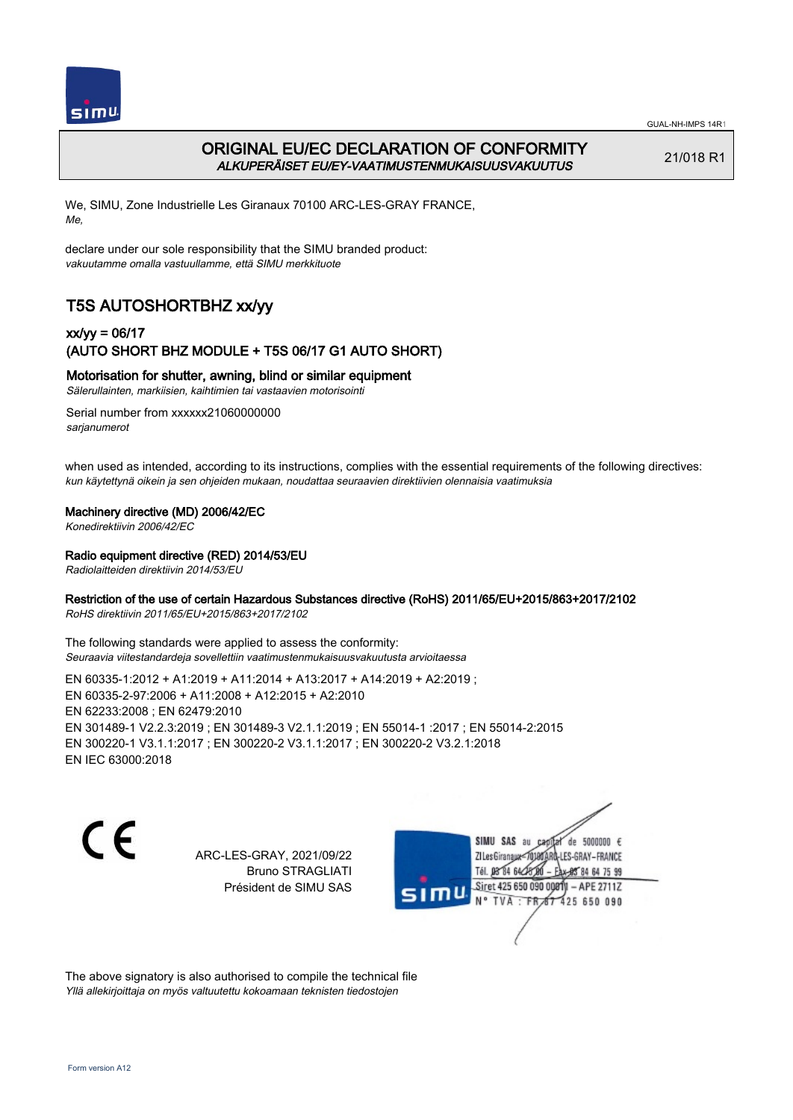

# ORIGINAL EU/EC DECLARATION OF CONFORMITY ALKUPERÄISET EU/EY-VAATIMUSTENMUKAISUUSVAKUUTUS

21/018 R1

We, SIMU, Zone Industrielle Les Giranaux 70100 ARC-LES-GRAY FRANCE, Me,

declare under our sole responsibility that the SIMU branded product: vakuutamme omalla vastuullamme, että SIMU merkkituote

# T5S AUTOSHORTBHZ xx/yy

## xx/yy = 06/17 (AUTO SHORT BHZ MODULE + T5S 06/17 G1 AUTO SHORT)

Motorisation for shutter, awning, blind or similar equipment

Sälerullainten, markiisien, kaihtimien tai vastaavien motorisointi

Serial number from xxxxxx21060000000 sarianumerot

when used as intended, according to its instructions, complies with the essential requirements of the following directives: kun käytettynä oikein ja sen ohjeiden mukaan, noudattaa seuraavien direktiivien olennaisia vaatimuksia

### Machinery directive (MD) 2006/42/EC

Konedirektiivin 2006/42/EC

### Radio equipment directive (RED) 2014/53/EU

Radiolaitteiden direktiivin 2014/53/EU

### Restriction of the use of certain Hazardous Substances directive (RoHS) 2011/65/EU+2015/863+2017/2102

RoHS direktiivin 2011/65/EU+2015/863+2017/2102

The following standards were applied to assess the conformity: Seuraavia viitestandardeja sovellettiin vaatimustenmukaisuusvakuutusta arvioitaessa

EN 60335‑1:2012 + A1:2019 + A11:2014 + A13:2017 + A14:2019 + A2:2019 ; EN 60335‑2‑97:2006 + A11:2008 + A12:2015 + A2:2010 EN 62233:2008 ; EN 62479:2010 EN 301489‑1 V2.2.3:2019 ; EN 301489‑3 V2.1.1:2019 ; EN 55014‑1 :2017 ; EN 55014‑2:2015 EN 300220‑1 V3.1.1:2017 ; EN 300220‑2 V3.1.1:2017 ; EN 300220‑2 V3.2.1:2018 EN IEC 63000:2018

C E

ARC-LES-GRAY, 2021/09/22 Bruno STRAGLIATI Président de SIMU SAS

de 5000000  $\epsilon$ SIMU SAS au ZI Les Giranaux< ES-GRAY-FRANCE Tél. 08 84 64 2 64 75 99 Siret 425 650 090 00811  $-$  APF 27117 125 650 090

The above signatory is also authorised to compile the technical file Yllä allekirjoittaja on myös valtuutettu kokoamaan teknisten tiedostojen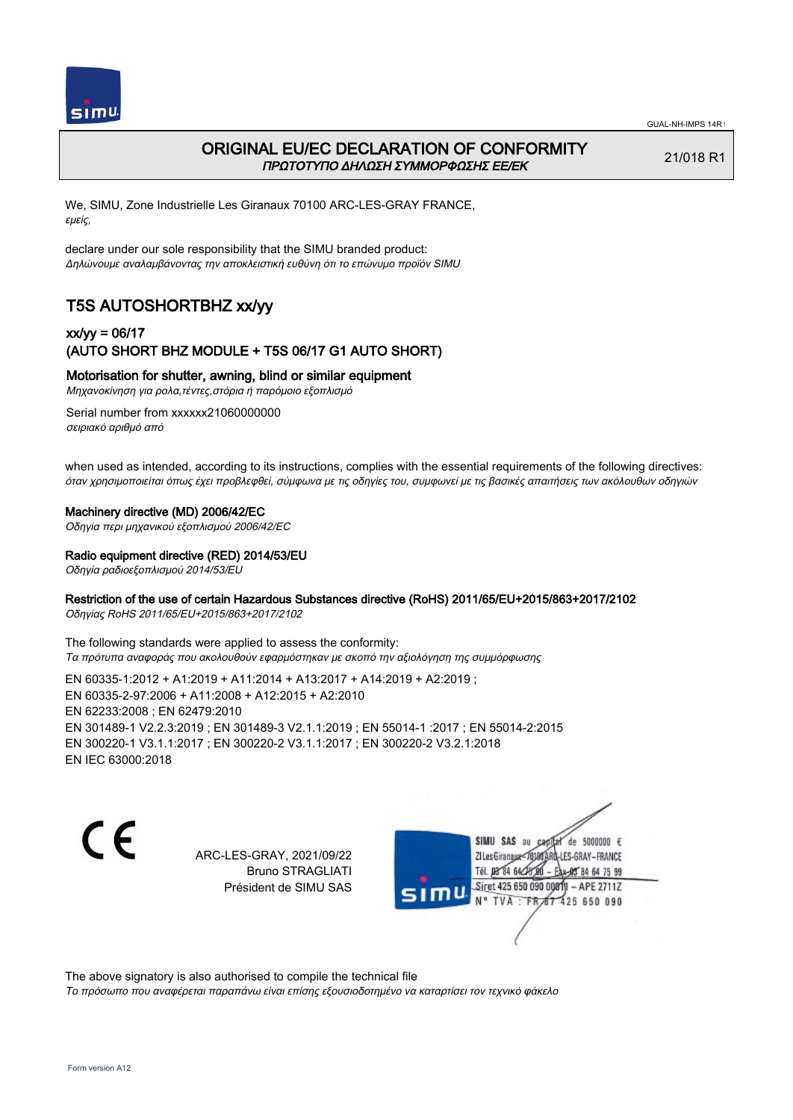

## ORIGINAL EU/EC DECLARATION OF CONFORMITY ΠΡΩΤΟΤΥΠΟ ΔΗΛΩΣΗ ΣΥΜΜΟΡΦΩΣΗΣ ΕΕ/EK

21/018 R1

We, SIMU, Zone Industrielle Les Giranaux 70100 ARC-LES-GRAY FRANCE, εμείς,

declare under our sole responsibility that the SIMU branded product: Δηλώνουμε αναλαμβάνοντας την αποκλειστική ευθύνη ότι το επώνυμο προϊόν SIMU

# T5S AUTOSHORTBHZ xx/yy

## xx/yy = 06/17 (AUTO SHORT BHZ MODULE + T5S 06/17 G1 AUTO SHORT)

Motorisation for shutter, awning, blind or similar equipment

Μηχανοκίνηση για ρολα,τέντες,στόρια ή παρόμοιο εξοπλισμό

Serial number from xxxxxx21060000000 σειριακό αριθμό από

when used as intended, according to its instructions, complies with the essential requirements of the following directives: όταν χρησιμοποιείται όπως έχει προβλεφθεί, σύμφωνα με τις οδηγίες του, συμφωνεί με τις βασικές απαιτήσεις των ακόλουθων οδηγιών

### Machinery directive (MD) 2006/42/EC

Οδηγία περι μηχανικού εξοπλισμού 2006/42/EC

# Radio equipment directive (RED) 2014/53/EU

Οδηγία ραδιοεξοπλισμού 2014/53/EU

### Restriction of the use of certain Hazardous Substances directive (RoHS) 2011/65/EU+2015/863+2017/2102

Οδηγίας RoHS 2011/65/EU+2015/863+2017/2102

The following standards were applied to assess the conformity: Τα πρότυπα αναφοράς που ακολουθούν εφαρμόστηκαν με σκοπό την αξιολόγηση της συμμόρφωσης

EN 60335‑1:2012 + A1:2019 + A11:2014 + A13:2017 + A14:2019 + A2:2019 ; EN 60335‑2‑97:2006 + A11:2008 + A12:2015 + A2:2010 EN 62233:2008 ; EN 62479:2010 EN 301489‑1 V2.2.3:2019 ; EN 301489‑3 V2.1.1:2019 ; EN 55014‑1 :2017 ; EN 55014‑2:2015 EN 300220‑1 V3.1.1:2017 ; EN 300220‑2 V3.1.1:2017 ; EN 300220‑2 V3.2.1:2018 EN IEC 63000:2018

C E

ARC-LES-GRAY, 2021/09/22 Bruno STRAGLIATI Président de SIMU SAS

de 5000000  $\epsilon$ SIMU SAS au ZI Les Giranaux-70180 LES-GRAY-FRANCE THE DR R4 64/28 64 75 99 Siret 425 650 090 00811  $-$  APF 27117 125 650 090

The above signatory is also authorised to compile the technical file

Το πρόσωπο που αναφέρεται παραπάνω είναι επίσης εξουσιοδοτημένο να καταρτίσει τον τεχνικό φάκελο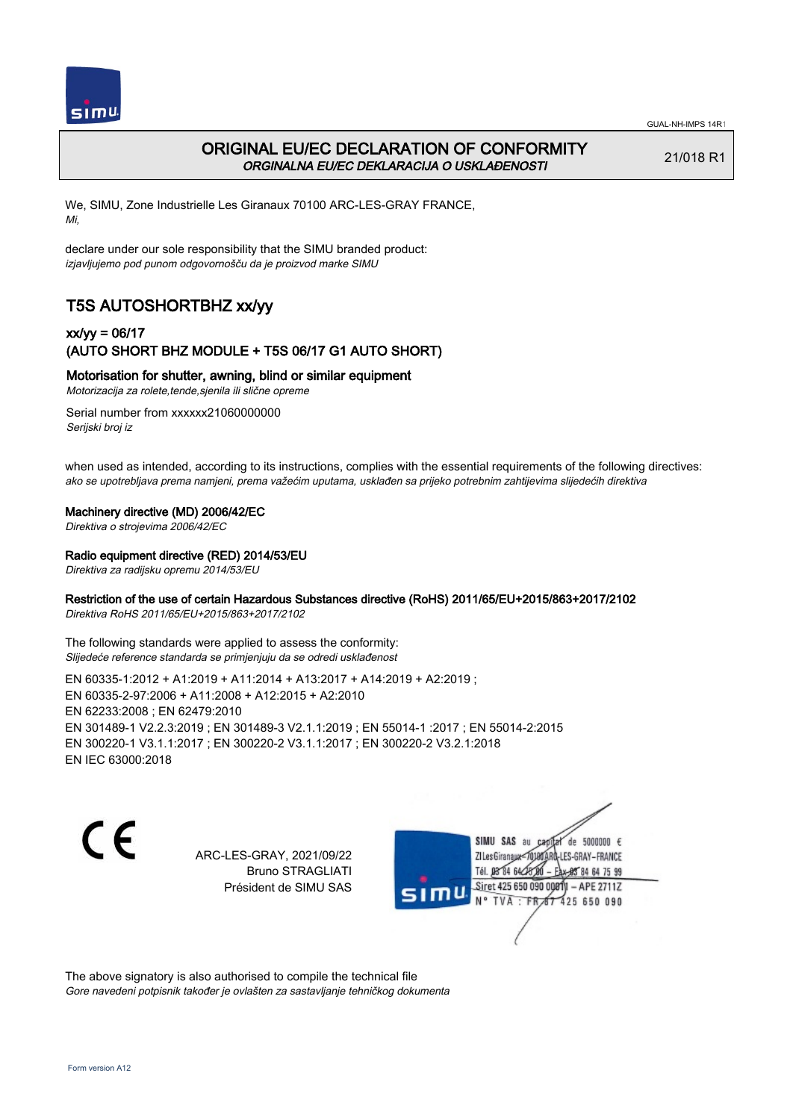

# ORIGINAL EU/EC DECLARATION OF CONFORMITY ORGINALNA EU/EC DEKLARACIJA O USKLAĐENOSTI

21/018 R1

We, SIMU, Zone Industrielle Les Giranaux 70100 ARC-LES-GRAY FRANCE, Mi,

declare under our sole responsibility that the SIMU branded product: izjavljujemo pod punom odgovornošču da je proizvod marke SIMU

# T5S AUTOSHORTBHZ xx/yy

## xx/yy = 06/17 (AUTO SHORT BHZ MODULE + T5S 06/17 G1 AUTO SHORT)

### Motorisation for shutter, awning, blind or similar equipment

Motorizacija za rolete,tende,sjenila ili slične opreme

Serial number from xxxxxx21060000000 Serijski broj iz

when used as intended, according to its instructions, complies with the essential requirements of the following directives: ako se upotrebljava prema namjeni, prema važećim uputama, usklađen sa prijeko potrebnim zahtijevima slijedećih direktiva

### Machinery directive (MD) 2006/42/EC

Direktiva o strojevima 2006/42/EC

### Radio equipment directive (RED) 2014/53/EU

Direktiva za radijsku opremu 2014/53/EU

### Restriction of the use of certain Hazardous Substances directive (RoHS) 2011/65/EU+2015/863+2017/2102

Direktiva RoHS 2011/65/EU+2015/863+2017/2102

The following standards were applied to assess the conformity: Slijedeće reference standarda se primjenjuju da se odredi usklađenost

EN 60335‑1:2012 + A1:2019 + A11:2014 + A13:2017 + A14:2019 + A2:2019 ; EN 60335‑2‑97:2006 + A11:2008 + A12:2015 + A2:2010 EN 62233:2008 ; EN 62479:2010 EN 301489‑1 V2.2.3:2019 ; EN 301489‑3 V2.1.1:2019 ; EN 55014‑1 :2017 ; EN 55014‑2:2015 EN 300220‑1 V3.1.1:2017 ; EN 300220‑2 V3.1.1:2017 ; EN 300220‑2 V3.2.1:2018 EN IEC 63000:2018

C E

ARC-LES-GRAY, 2021/09/22 Bruno STRAGLIATI Président de SIMU SAS

de 5000000  $\epsilon$ SIMU SAS au ZI Les Giranaux</D LES-GRAY-FRANCE Tél. 08 R4 64 2 64 75 99 Siret 425 650 090 00811  $-$  APF 27117 125 650 090

The above signatory is also authorised to compile the technical file Gore navedeni potpisnik također je ovlašten za sastavljanje tehničkog dokumenta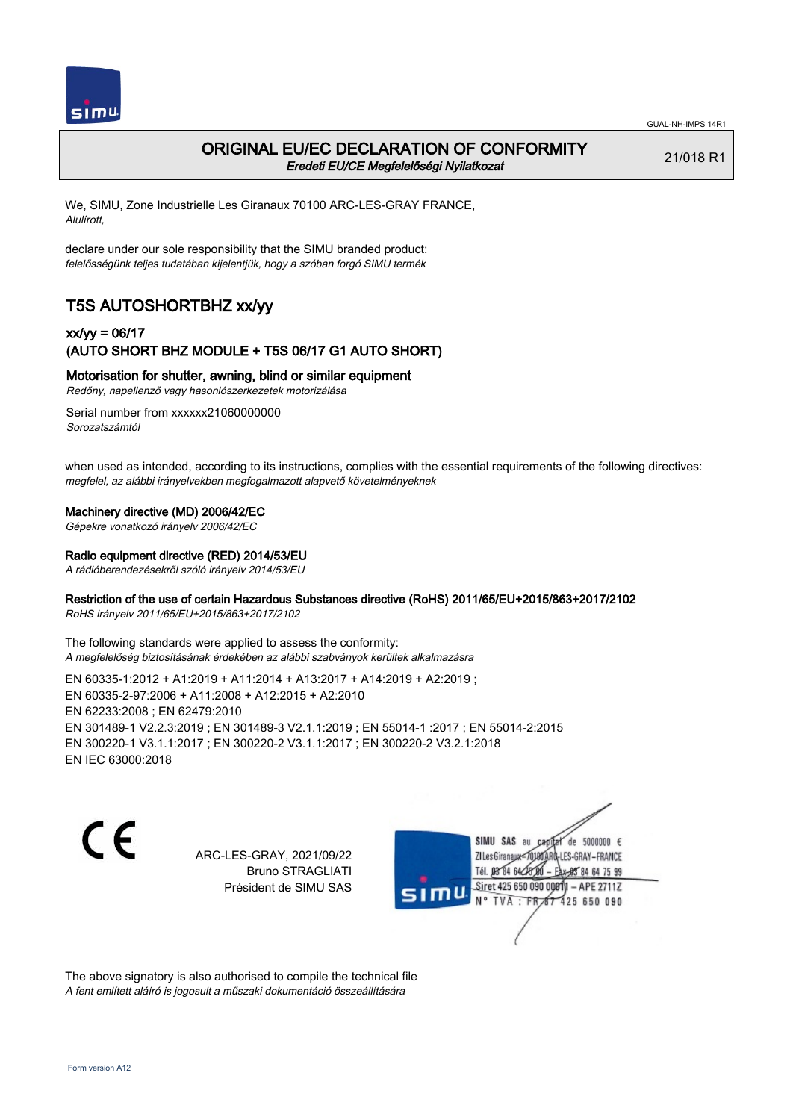

### ORIGINAL EU/EC DECLARATION OF CONFORMITY Eredeti EU/CE Megfelelőségi Nyilatkozat

21/018 R1

We, SIMU, Zone Industrielle Les Giranaux 70100 ARC-LES-GRAY FRANCE, Alulírott,

declare under our sole responsibility that the SIMU branded product: felelősségünk teljes tudatában kijelentjük, hogy a szóban forgó SIMU termék

# T5S AUTOSHORTBHZ xx/yy

### xx/yy = 06/17 (AUTO SHORT BHZ MODULE + T5S 06/17 G1 AUTO SHORT)

Motorisation for shutter, awning, blind or similar equipment

Redőny, napellenző vagy hasonlószerkezetek motorizálása

Serial number from xxxxxx21060000000 Sorozatszámtól

when used as intended, according to its instructions, complies with the essential requirements of the following directives: megfelel, az alábbi irányelvekben megfogalmazott alapvető követelményeknek

#### Machinery directive (MD) 2006/42/EC

Gépekre vonatkozó irányelv 2006/42/EC

#### Radio equipment directive (RED) 2014/53/EU

A rádióberendezésekről szóló irányelv 2014/53/EU

### Restriction of the use of certain Hazardous Substances directive (RoHS) 2011/65/EU+2015/863+2017/2102

RoHS irányelv 2011/65/EU+2015/863+2017/2102

The following standards were applied to assess the conformity: A megfelelőség biztosításának érdekében az alábbi szabványok kerültek alkalmazásra

EN 60335‑1:2012 + A1:2019 + A11:2014 + A13:2017 + A14:2019 + A2:2019 ; EN 60335‑2‑97:2006 + A11:2008 + A12:2015 + A2:2010 EN 62233:2008 ; EN 62479:2010 EN 301489‑1 V2.2.3:2019 ; EN 301489‑3 V2.1.1:2019 ; EN 55014‑1 :2017 ; EN 55014‑2:2015 EN 300220‑1 V3.1.1:2017 ; EN 300220‑2 V3.1.1:2017 ; EN 300220‑2 V3.2.1:2018 EN IEC 63000:2018

C E

ARC-LES-GRAY, 2021/09/22 Bruno STRAGLIATI Président de SIMU SAS

de 5000000  $\epsilon$ SIMU SAS au ZI Les Giranaux< LES-GRAY-FRANCE Tél. 08 84 64 2 64 75 99 Siret 425 650 090 00811  $-$  APF 27117 125 650 090

The above signatory is also authorised to compile the technical file A fent említett aláíró is jogosult a műszaki dokumentáció összeállítására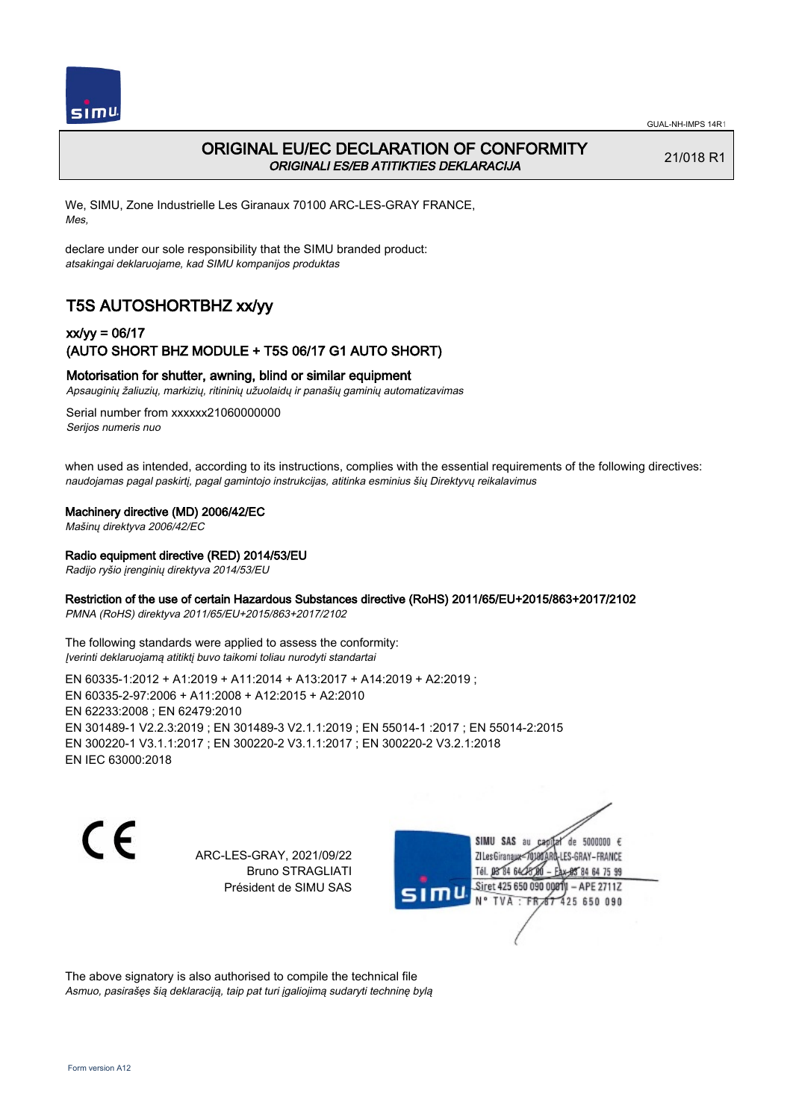

# ORIGINAL EU/EC DECLARATION OF CONFORMITY ORIGINALI ES/EB ATITIKTIES DEKLARACIJA

21/018 R1

We, SIMU, Zone Industrielle Les Giranaux 70100 ARC-LES-GRAY FRANCE, Mes,

declare under our sole responsibility that the SIMU branded product: atsakingai deklaruojame, kad SIMU kompanijos produktas

# T5S AUTOSHORTBHZ xx/yy

## xx/yy = 06/17 (AUTO SHORT BHZ MODULE + T5S 06/17 G1 AUTO SHORT)

### Motorisation for shutter, awning, blind or similar equipment

Apsauginių žaliuzių, markizių, ritininių užuolaidų ir panašių gaminių automatizavimas

Serial number from xxxxxx21060000000 Serijos numeris nuo

when used as intended, according to its instructions, complies with the essential requirements of the following directives: naudojamas pagal paskirtį, pagal gamintojo instrukcijas, atitinka esminius šių Direktyvų reikalavimus

#### Machinery directive (MD) 2006/42/EC

Mašinų direktyva 2006/42/EC

#### Radio equipment directive (RED) 2014/53/EU

Radijo ryšio įrenginių direktyva 2014/53/EU

### Restriction of the use of certain Hazardous Substances directive (RoHS) 2011/65/EU+2015/863+2017/2102

PMNA (RoHS) direktyva 2011/65/EU+2015/863+2017/2102

The following standards were applied to assess the conformity: Įverinti deklaruojamą atitiktį buvo taikomi toliau nurodyti standartai

EN 60335‑1:2012 + A1:2019 + A11:2014 + A13:2017 + A14:2019 + A2:2019 ; EN 60335‑2‑97:2006 + A11:2008 + A12:2015 + A2:2010 EN 62233:2008 ; EN 62479:2010 EN 301489‑1 V2.2.3:2019 ; EN 301489‑3 V2.1.1:2019 ; EN 55014‑1 :2017 ; EN 55014‑2:2015 EN 300220‑1 V3.1.1:2017 ; EN 300220‑2 V3.1.1:2017 ; EN 300220‑2 V3.2.1:2018 EN IEC 63000:2018

C E

ARC-LES-GRAY, 2021/09/22 Bruno STRAGLIATI Président de SIMU SAS

de 5000000  $\epsilon$ SIMU SAS au ZI Les Giranaux-70180 LES-GRAY-FRANCE Tél. 08 R4 64 24 64 75 99 Siret 425 650 090 0081  $-$  APF 27117 **TVA · FR** 125 650 090

The above signatory is also authorised to compile the technical file Asmuo, pasirašęs šią deklaraciją, taip pat turi įgaliojimą sudaryti techninę bylą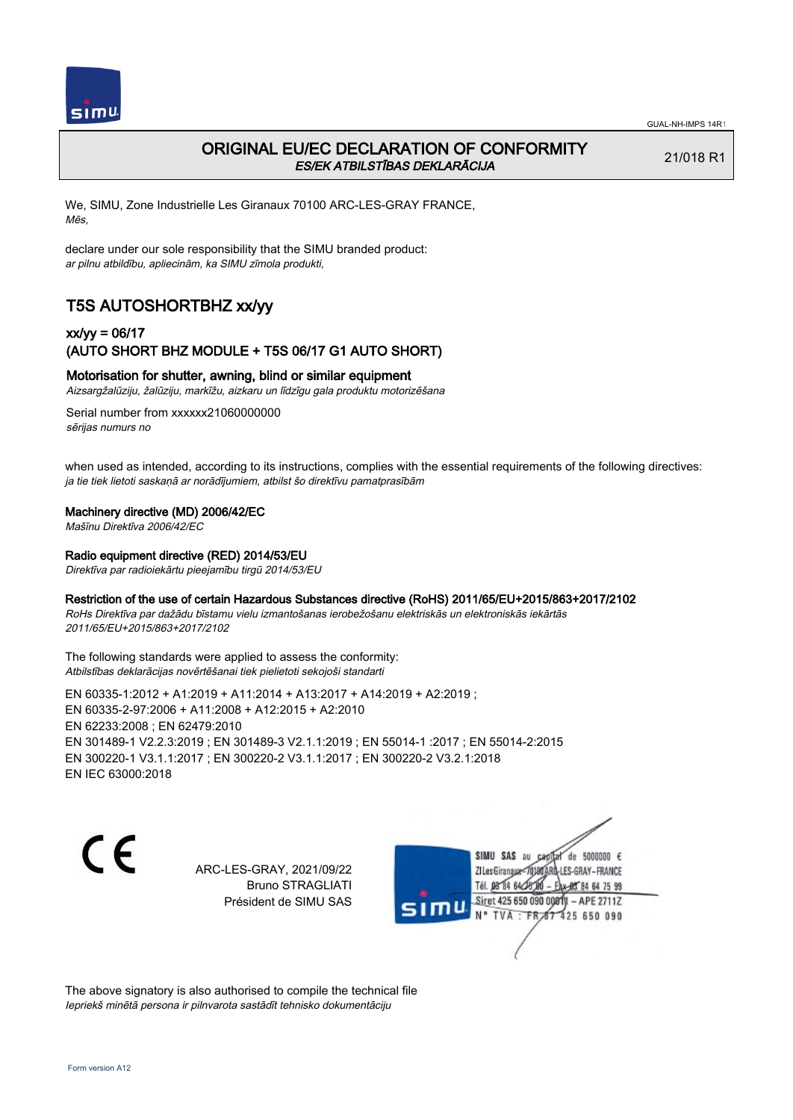

# ORIGINAL EU/EC DECLARATION OF CONFORMITY ES/EK ATBILSTĪBAS DEKLARĀCIJA

21/018 R1

We, SIMU, Zone Industrielle Les Giranaux 70100 ARC-LES-GRAY FRANCE, Mēs,

declare under our sole responsibility that the SIMU branded product: ar pilnu atbildību, apliecinām, ka SIMU zīmola produkti,

# T5S AUTOSHORTBHZ xx/yy

### xx/yy = 06/17 (AUTO SHORT BHZ MODULE + T5S 06/17 G1 AUTO SHORT)

### Motorisation for shutter, awning, blind or similar equipment

Aizsargžalūziju, žalūziju, markīžu, aizkaru un līdzīgu gala produktu motorizēšana

Serial number from xxxxxx21060000000 sērijas numurs no

when used as intended, according to its instructions, complies with the essential requirements of the following directives: ja tie tiek lietoti saskaņā ar norādījumiem, atbilst šo direktīvu pamatprasībām

### Machinery directive (MD) 2006/42/EC

Mašīnu Direktīva 2006/42/EC

#### Radio equipment directive (RED) 2014/53/EU

Direktīva par radioiekārtu pieejamību tirgū 2014/53/EU

#### Restriction of the use of certain Hazardous Substances directive (RoHS) 2011/65/EU+2015/863+2017/2102

RoHs Direktīva par dažādu bīstamu vielu izmantošanas ierobežošanu elektriskās un elektroniskās iekārtās 2011/65/EU+2015/863+2017/2102

The following standards were applied to assess the conformity: Atbilstības deklarācijas novērtēšanai tiek pielietoti sekojoši standarti

EN 60335‑1:2012 + A1:2019 + A11:2014 + A13:2017 + A14:2019 + A2:2019 ; EN 60335‑2‑97:2006 + A11:2008 + A12:2015 + A2:2010 EN 62233:2008 ; EN 62479:2010 EN 301489‑1 V2.2.3:2019 ; EN 301489‑3 V2.1.1:2019 ; EN 55014‑1 :2017 ; EN 55014‑2:2015 EN 300220‑1 V3.1.1:2017 ; EN 300220‑2 V3.1.1:2017 ; EN 300220‑2 V3.2.1:2018 EN IEC 63000:2018

C E

ARC-LES-GRAY, 2021/09/22 Bruno STRAGLIATI Président de SIMU SAS



The above signatory is also authorised to compile the technical file Iepriekš minētā persona ir pilnvarota sastādīt tehnisko dokumentāciju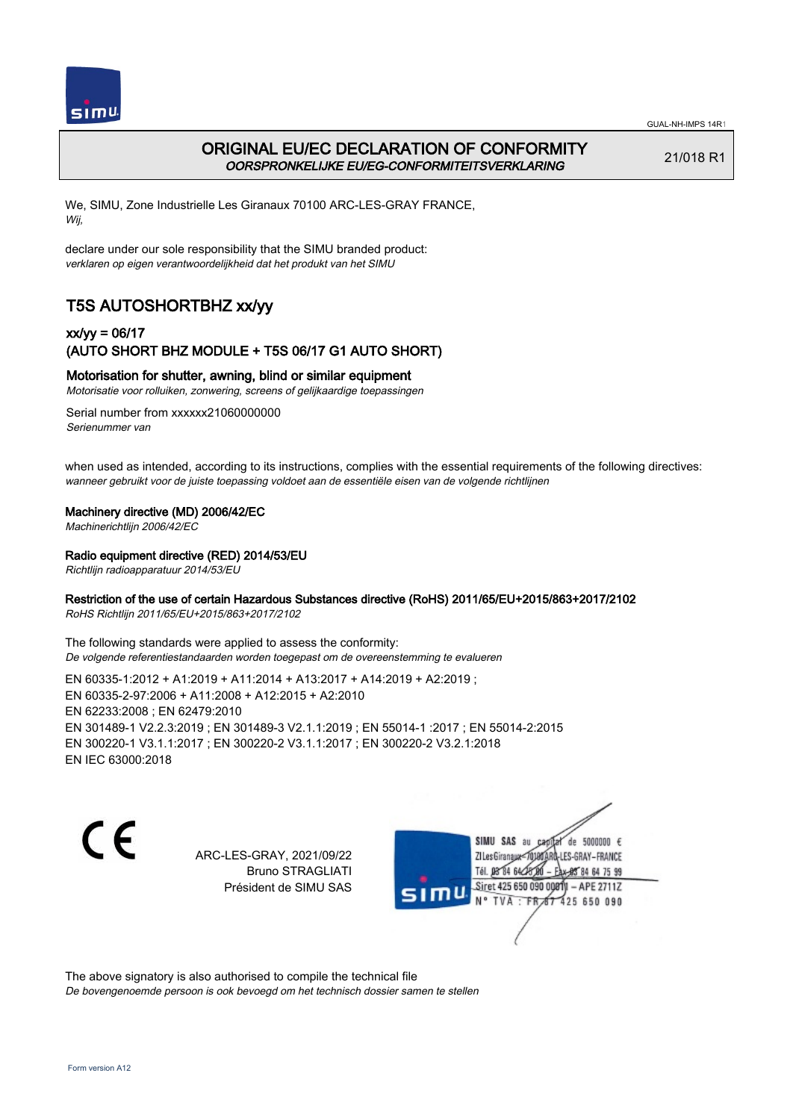

# ORIGINAL EU/EC DECLARATION OF CONFORMITY OORSPRONKELIJKE EU/EG-CONFORMITEITSVERKLARING

21/018 R1

We, SIMU, Zone Industrielle Les Giranaux 70100 ARC-LES-GRAY FRANCE, Wij,

declare under our sole responsibility that the SIMU branded product: verklaren op eigen verantwoordelijkheid dat het produkt van het SIMU

# T5S AUTOSHORTBHZ xx/yy

### xx/yy = 06/17 (AUTO SHORT BHZ MODULE + T5S 06/17 G1 AUTO SHORT)

### Motorisation for shutter, awning, blind or similar equipment

Motorisatie voor rolluiken, zonwering, screens of gelijkaardige toepassingen

Serial number from xxxxxx21060000000 Serienummer van

when used as intended, according to its instructions, complies with the essential requirements of the following directives: wanneer gebruikt voor de juiste toepassing voldoet aan de essentiële eisen van de volgende richtlijnen

#### Machinery directive (MD) 2006/42/EC

Machinerichtlijn 2006/42/EC

#### Radio equipment directive (RED) 2014/53/EU

Richtlijn radioapparatuur 2014/53/EU

### Restriction of the use of certain Hazardous Substances directive (RoHS) 2011/65/EU+2015/863+2017/2102

RoHS Richtlijn 2011/65/EU+2015/863+2017/2102

The following standards were applied to assess the conformity: De volgende referentiestandaarden worden toegepast om de overeenstemming te evalueren

EN 60335‑1:2012 + A1:2019 + A11:2014 + A13:2017 + A14:2019 + A2:2019 ; EN 60335‑2‑97:2006 + A11:2008 + A12:2015 + A2:2010 EN 62233:2008 ; EN 62479:2010 EN 301489‑1 V2.2.3:2019 ; EN 301489‑3 V2.1.1:2019 ; EN 55014‑1 :2017 ; EN 55014‑2:2015 EN 300220‑1 V3.1.1:2017 ; EN 300220‑2 V3.1.1:2017 ; EN 300220‑2 V3.2.1:2018 EN IEC 63000:2018

C E

ARC-LES-GRAY, 2021/09/22 Bruno STRAGLIATI Président de SIMU SAS

de 5000000  $\epsilon$ SIMU SAS au ZI Les Giranaux< LES-GRAY-FRANCE Tél. 08 R4 64 2 64 75 99 Siret 425 650 090 00811  $-$  APF 27117 125 650 090

The above signatory is also authorised to compile the technical file De bovengenoemde persoon is ook bevoegd om het technisch dossier samen te stellen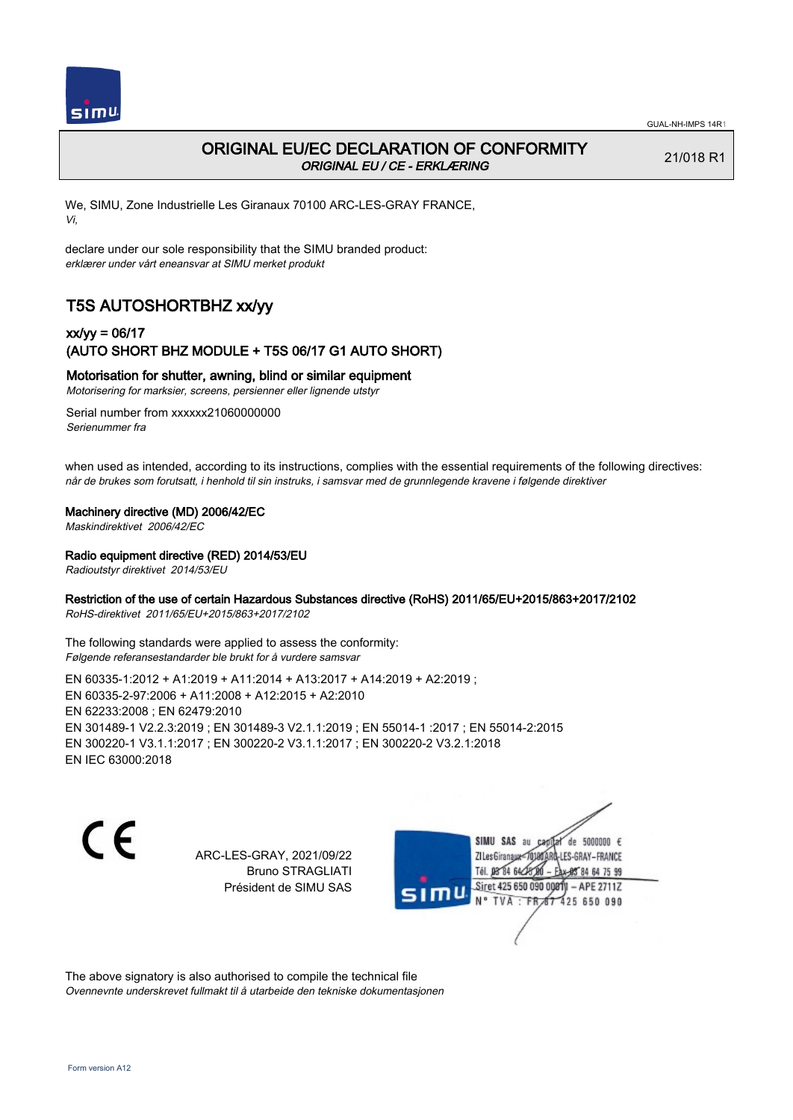

# ORIGINAL EU/EC DECLARATION OF CONFORMITY ORIGINAL EU / CE - ERKLÆRING

21/018 R1

We, SIMU, Zone Industrielle Les Giranaux 70100 ARC-LES-GRAY FRANCE, Vi,

declare under our sole responsibility that the SIMU branded product: erklærer under vårt eneansvar at SIMU merket produkt

# T5S AUTOSHORTBHZ xx/yy

## xx/yy = 06/17 (AUTO SHORT BHZ MODULE + T5S 06/17 G1 AUTO SHORT)

Motorisation for shutter, awning, blind or similar equipment

Motorisering for marksier, screens, persienner eller lignende utstyr

Serial number from xxxxxx21060000000 Serienummer fra

when used as intended, according to its instructions, complies with the essential requirements of the following directives: når de brukes som forutsatt, i henhold til sin instruks, i samsvar med de grunnlegende kravene i følgende direktiver

### Machinery directive (MD) 2006/42/EC

Maskindirektivet 2006/42/EC

Radio equipment directive (RED) 2014/53/EU

Radioutstyr direktivet 2014/53/EU

### Restriction of the use of certain Hazardous Substances directive (RoHS) 2011/65/EU+2015/863+2017/2102

RoHS-direktivet 2011/65/EU+2015/863+2017/2102

The following standards were applied to assess the conformity: Følgende referansestandarder ble brukt for å vurdere samsvar

EN 60335‑1:2012 + A1:2019 + A11:2014 + A13:2017 + A14:2019 + A2:2019 ; EN 60335‑2‑97:2006 + A11:2008 + A12:2015 + A2:2010 EN 62233:2008 ; EN 62479:2010 EN 301489‑1 V2.2.3:2019 ; EN 301489‑3 V2.1.1:2019 ; EN 55014‑1 :2017 ; EN 55014‑2:2015 EN 300220‑1 V3.1.1:2017 ; EN 300220‑2 V3.1.1:2017 ; EN 300220‑2 V3.2.1:2018 EN IEC 63000:2018

C E

ARC-LES-GRAY, 2021/09/22 Bruno STRAGLIATI Président de SIMU SAS

de 5000000  $\epsilon$ SIMU SAS au ZI Les Giranaux< ES-GRAY-FRANCE Tél. 08 84 64 2 64 75 99 Siret 425 650 090 00811  $-$  APF 27117 125 650 090

The above signatory is also authorised to compile the technical file Ovennevnte underskrevet fullmakt til å utarbeide den tekniske dokumentasjonen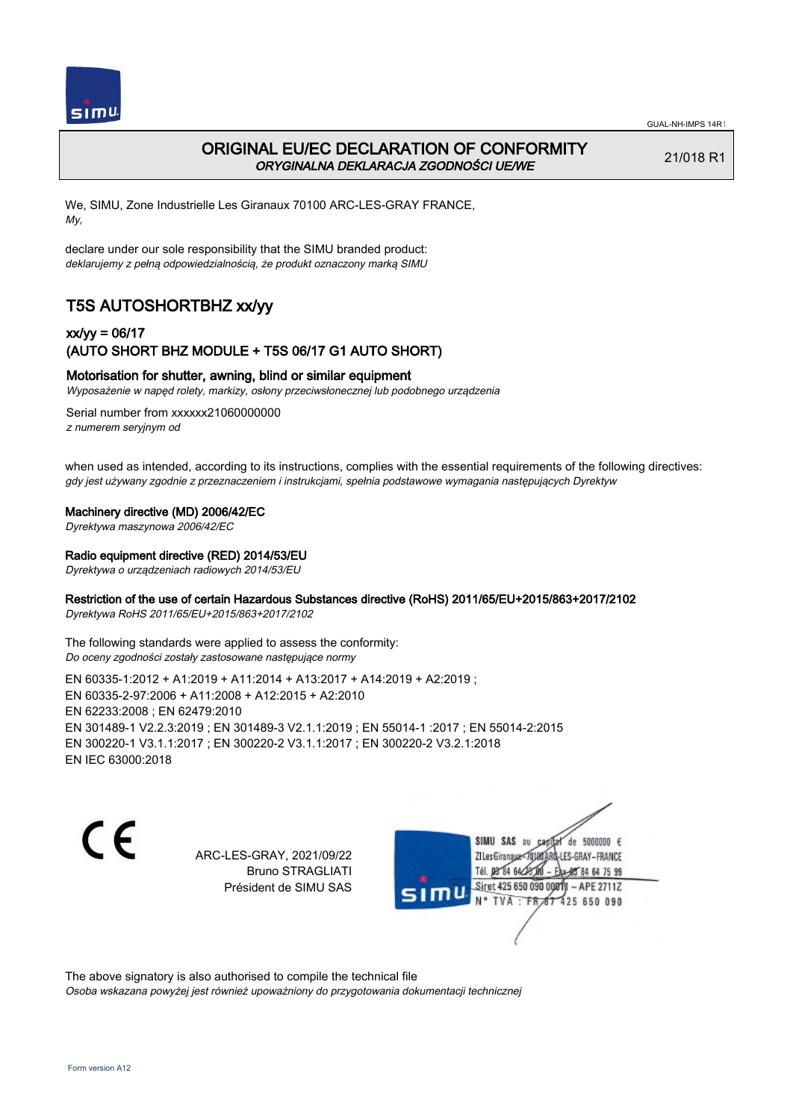

# ORIGINAL EU/EC DECLARATION OF CONFORMITY ORYGINALNA DEKLARACJA ZGODNOŚCI UE/WE

21/018 R1

We, SIMU, Zone Industrielle Les Giranaux 70100 ARC-LES-GRAY FRANCE, My,

declare under our sole responsibility that the SIMU branded product: deklarujemy z pełną odpowiedzialnością, że produkt oznaczony marką SIMU

# T5S AUTOSHORTBHZ xx/yy

### xx/yy = 06/17 (AUTO SHORT BHZ MODULE + T5S 06/17 G1 AUTO SHORT)

### Motorisation for shutter, awning, blind or similar equipment

Wyposażenie w napęd rolety, markizy, osłony przeciwsłonecznej lub podobnego urządzenia

Serial number from xxxxxx21060000000 z numerem seryjnym od

when used as intended, according to its instructions, complies with the essential requirements of the following directives: gdy jest używany zgodnie z przeznaczeniem i instrukcjami, spełnia podstawowe wymagania następujących Dyrektyw

Machinery directive (MD) 2006/42/EC

Dyrektywa maszynowa 2006/42/EC

#### Radio equipment directive (RED) 2014/53/EU

Dyrektywa o urządzeniach radiowych 2014/53/EU

### Restriction of the use of certain Hazardous Substances directive (RoHS) 2011/65/EU+2015/863+2017/2102

Dyrektywa RoHS 2011/65/EU+2015/863+2017/2102

The following standards were applied to assess the conformity: Do oceny zgodności zostały zastosowane następujące normy

EN 60335‑1:2012 + A1:2019 + A11:2014 + A13:2017 + A14:2019 + A2:2019 ; EN 60335‑2‑97:2006 + A11:2008 + A12:2015 + A2:2010 EN 62233:2008 ; EN 62479:2010 EN 301489‑1 V2.2.3:2019 ; EN 301489‑3 V2.1.1:2019 ; EN 55014‑1 :2017 ; EN 55014‑2:2015 EN 300220‑1 V3.1.1:2017 ; EN 300220‑2 V3.1.1:2017 ; EN 300220‑2 V3.2.1:2018 EN IEC 63000:2018

C E

ARC-LES-GRAY, 2021/09/22 Bruno STRAGLIATI Président de SIMU SAS

de 5000000  $\epsilon$ SIMU SAS au ZI Les Giranaux-70180 LES-GRAY-FRANCE Tél. 08 R4 64 2 64 75 99 Siret 425 650 090 00811  $-$  APF 27117 125 650 090

The above signatory is also authorised to compile the technical file Osoba wskazana powyżej jest również upoważniony do przygotowania dokumentacji technicznej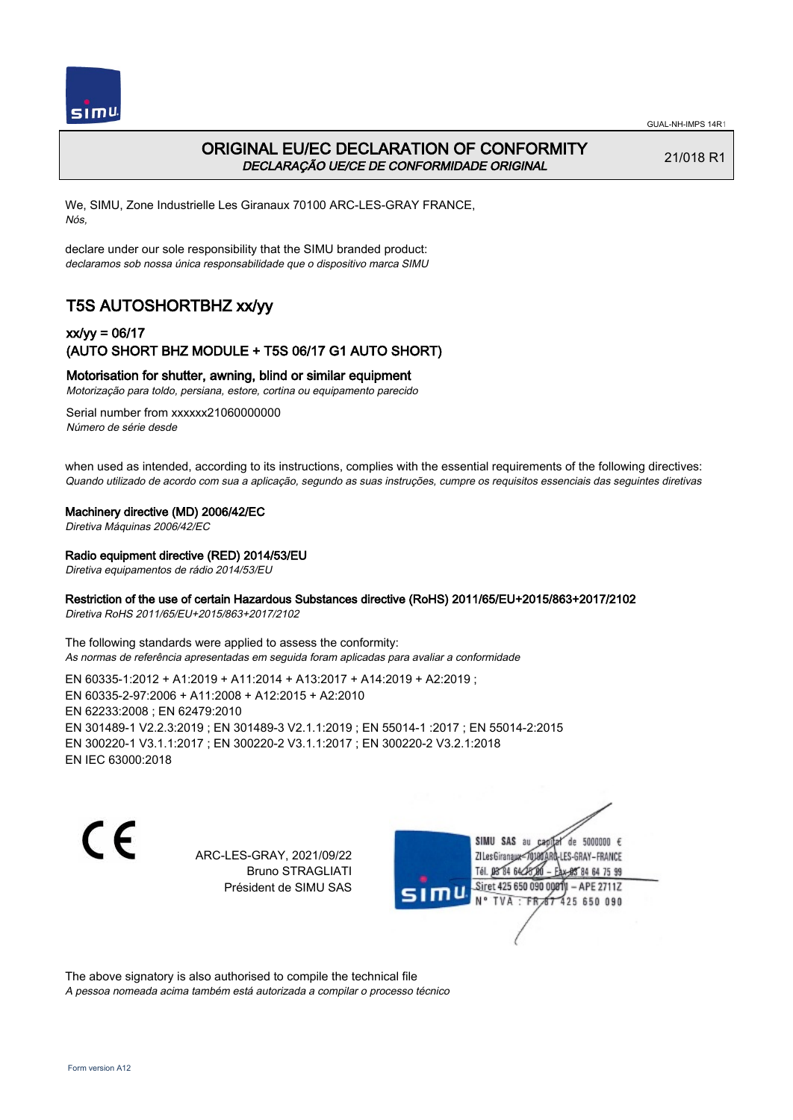

 $SIMU$ 

GUAL-NH-IMPS 14R1

## ORIGINAL EU/EC DECLARATION OF CONFORMITY DECLARAÇÃO UE/CE DE CONFORMIDADE ORIGINAL

21/018 R1

We, SIMU, Zone Industrielle Les Giranaux 70100 ARC-LES-GRAY FRANCE, Nós,

declare under our sole responsibility that the SIMU branded product: declaramos sob nossa única responsabilidade que o dispositivo marca SIMU

# T5S AUTOSHORTBHZ xx/yy

### xx/yy = 06/17 (AUTO SHORT BHZ MODULE + T5S 06/17 G1 AUTO SHORT)

### Motorisation for shutter, awning, blind or similar equipment

Motorização para toldo, persiana, estore, cortina ou equipamento parecido

Serial number from xxxxxx21060000000 Número de série desde

when used as intended, according to its instructions, complies with the essential requirements of the following directives: Quando utilizado de acordo com sua a aplicação, segundo as suas instruções, cumpre os requisitos essenciais das seguintes diretivas

#### Machinery directive (MD) 2006/42/EC

Diretiva Máquinas 2006/42/EC

#### Radio equipment directive (RED) 2014/53/EU

Diretiva equipamentos de rádio 2014/53/EU

### Restriction of the use of certain Hazardous Substances directive (RoHS) 2011/65/EU+2015/863+2017/2102

Diretiva RoHS 2011/65/EU+2015/863+2017/2102

The following standards were applied to assess the conformity: As normas de referência apresentadas em seguida foram aplicadas para avaliar a conformidade

EN 60335‑1:2012 + A1:2019 + A11:2014 + A13:2017 + A14:2019 + A2:2019 ; EN 60335‑2‑97:2006 + A11:2008 + A12:2015 + A2:2010 EN 62233:2008 ; EN 62479:2010 EN 301489‑1 V2.2.3:2019 ; EN 301489‑3 V2.1.1:2019 ; EN 55014‑1 :2017 ; EN 55014‑2:2015 EN 300220‑1 V3.1.1:2017 ; EN 300220‑2 V3.1.1:2017 ; EN 300220‑2 V3.2.1:2018 EN IEC 63000:2018

C E

ARC-LES-GRAY, 2021/09/22 Bruno STRAGLIATI Président de SIMU SAS

de 5000000  $\epsilon$ SIMU SAS au ZI Les Giranaux< ES-GRAY-FRANCE Tél. 08 84 64 2 64 75 99 Siret 425 650 090 00811  $-$  APF 27117 125 650 090

The above signatory is also authorised to compile the technical file A pessoa nomeada acima também está autorizada a compilar o processo técnico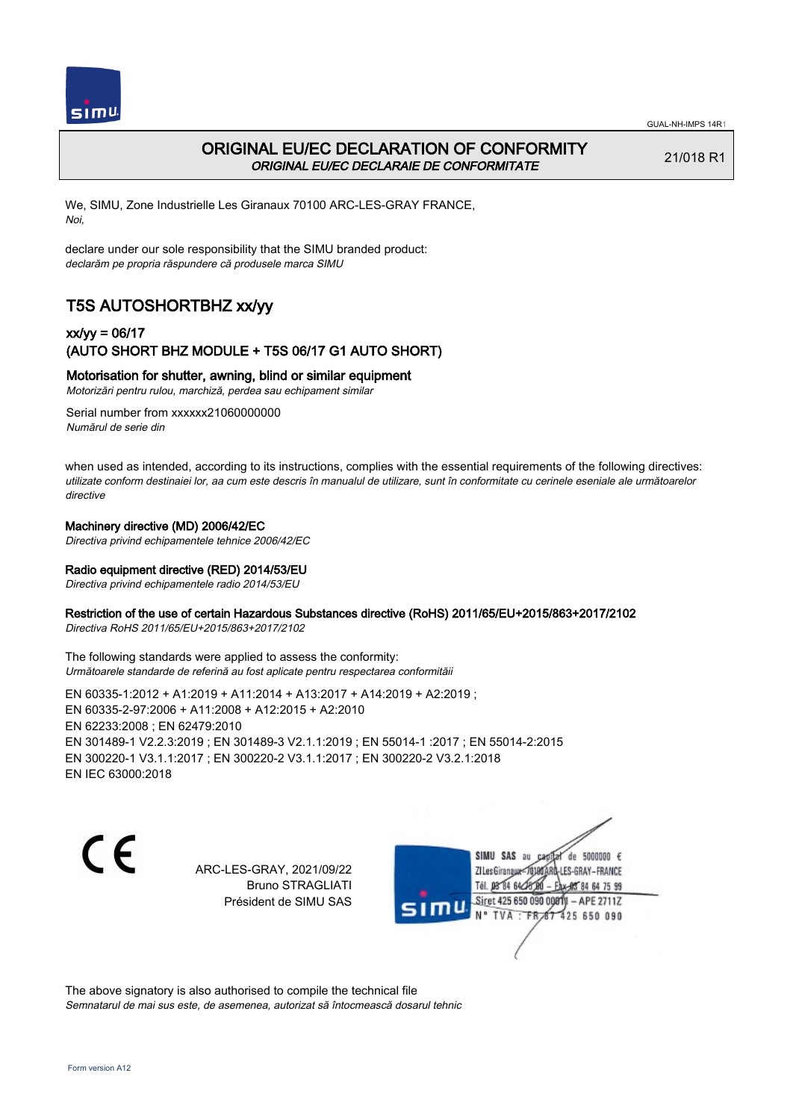

## ORIGINAL EU/EC DECLARATION OF CONFORMITY ORIGINAL EU/EC DECLARAIE DE CONFORMITATE

21/018 R1

We, SIMU, Zone Industrielle Les Giranaux 70100 ARC-LES-GRAY FRANCE, Noi,

declare under our sole responsibility that the SIMU branded product: declarăm pe propria răspundere că produsele marca SIMU

# T5S AUTOSHORTBHZ xx/yy

### xx/yy = 06/17 (AUTO SHORT BHZ MODULE + T5S 06/17 G1 AUTO SHORT)

### Motorisation for shutter, awning, blind or similar equipment

Motorizări pentru rulou, marchiză, perdea sau echipament similar

Serial number from xxxxxx21060000000 Numărul de serie din

when used as intended, according to its instructions, complies with the essential requirements of the following directives: utilizate conform destinaiei lor, aa cum este descris în manualul de utilizare, sunt în conformitate cu cerinele eseniale ale următoarelor directive

#### Machinery directive (MD) 2006/42/EC

Directiva privind echipamentele tehnice 2006/42/EC

#### Radio equipment directive (RED) 2014/53/EU

Directiva privind echipamentele radio 2014/53/EU

#### Restriction of the use of certain Hazardous Substances directive (RoHS) 2011/65/EU+2015/863+2017/2102

Directiva RoHS 2011/65/EU+2015/863+2017/2102

The following standards were applied to assess the conformity: Următoarele standarde de referină au fost aplicate pentru respectarea conformităii

EN 60335‑1:2012 + A1:2019 + A11:2014 + A13:2017 + A14:2019 + A2:2019 ; EN 60335‑2‑97:2006 + A11:2008 + A12:2015 + A2:2010 EN 62233:2008 ; EN 62479:2010 EN 301489‑1 V2.2.3:2019 ; EN 301489‑3 V2.1.1:2019 ; EN 55014‑1 :2017 ; EN 55014‑2:2015 EN 300220‑1 V3.1.1:2017 ; EN 300220‑2 V3.1.1:2017 ; EN 300220‑2 V3.2.1:2018 EN IEC 63000:2018

 $\epsilon$ 

ARC-LES-GRAY, 2021/09/22 Bruno STRAGLIATI Président de SIMU SAS

de 5000000 € SIMU SAS au ZI Les Giranaux< LES-GRAY-FRANCE Tél. 08 84 64 24 95 84 64 75 99 Siret 425 650 090 00811 - APE 2711Z  $TVA$ : FRAT 425 650 090

The above signatory is also authorised to compile the technical file Semnatarul de mai sus este, de asemenea, autorizat să întocmească dosarul tehnic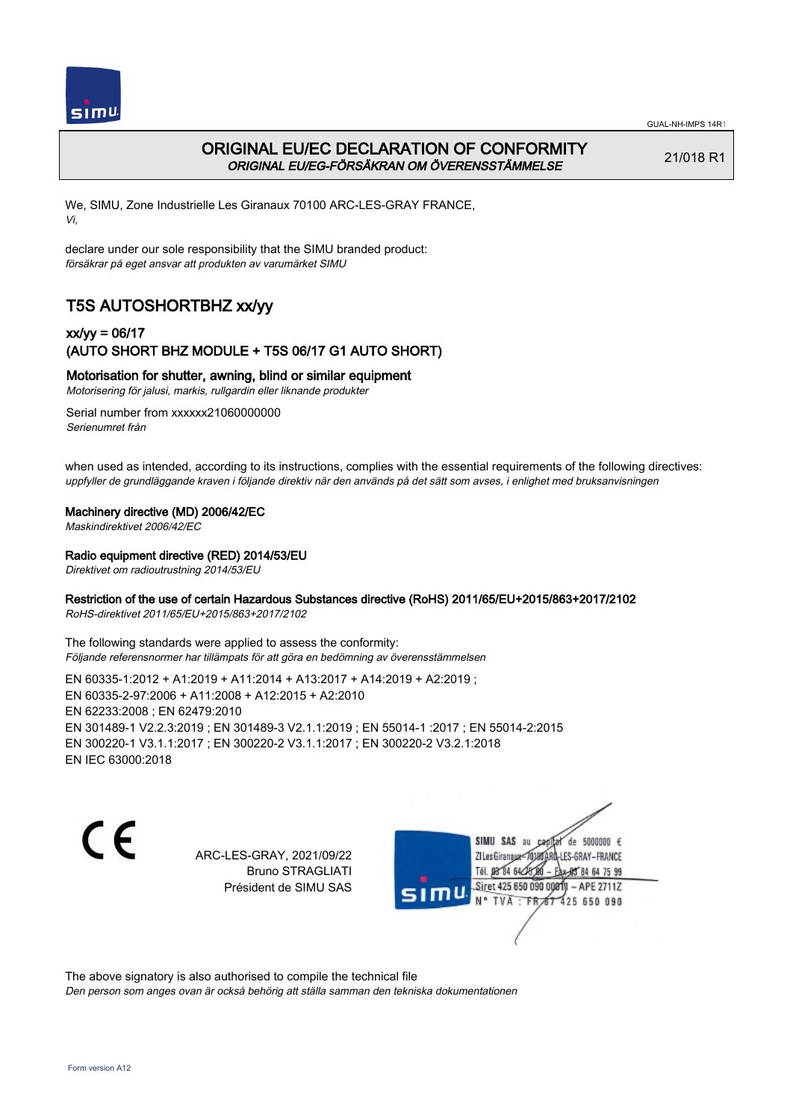

# ORIGINAL EU/EC DECLARATION OF CONFORMITY ORIGINAL EU/EG-FÖRSÄKRAN OM ÖVERENSSTÄMMELSE

21/018 R1

We, SIMU, Zone Industrielle Les Giranaux 70100 ARC-LES-GRAY FRANCE, Vi,

declare under our sole responsibility that the SIMU branded product: försäkrar på eget ansvar att produkten av varumärket SIMU

# T5S AUTOSHORTBHZ xx/yy

## xx/yy = 06/17 (AUTO SHORT BHZ MODULE + T5S 06/17 G1 AUTO SHORT)

### Motorisation for shutter, awning, blind or similar equipment

Motorisering för jalusi, markis, rullgardin eller liknande produkter

Serial number from xxxxxx21060000000 Serienumret från

when used as intended, according to its instructions, complies with the essential requirements of the following directives: uppfyller de grundläggande kraven i följande direktiv när den används på det sätt som avses, i enlighet med bruksanvisningen

### Machinery directive (MD) 2006/42/EC

Maskindirektivet 2006/42/EC

### Radio equipment directive (RED) 2014/53/EU

Direktivet om radioutrustning 2014/53/EU

### Restriction of the use of certain Hazardous Substances directive (RoHS) 2011/65/EU+2015/863+2017/2102

RoHS-direktivet 2011/65/EU+2015/863+2017/2102

The following standards were applied to assess the conformity: Följande referensnormer har tillämpats för att göra en bedömning av överensstämmelsen

EN 60335‑1:2012 + A1:2019 + A11:2014 + A13:2017 + A14:2019 + A2:2019 ; EN 60335‑2‑97:2006 + A11:2008 + A12:2015 + A2:2010 EN 62233:2008 ; EN 62479:2010 EN 301489‑1 V2.2.3:2019 ; EN 301489‑3 V2.1.1:2019 ; EN 55014‑1 :2017 ; EN 55014‑2:2015 EN 300220‑1 V3.1.1:2017 ; EN 300220‑2 V3.1.1:2017 ; EN 300220‑2 V3.2.1:2018 EN IEC 63000:2018

C E

ARC-LES-GRAY, 2021/09/22 Bruno STRAGLIATI Président de SIMU SAS

de 5000000  $\epsilon$ SIMU SAS au ZI Les Giranaux< ES-GRAY-FRANCE Tél. 08 84 64 2 64 75 99 Siret 425 650 090 00811  $-$  APF 27117 125 650 090

The above signatory is also authorised to compile the technical file

Den person som anges ovan är också behörig att ställa samman den tekniska dokumentationen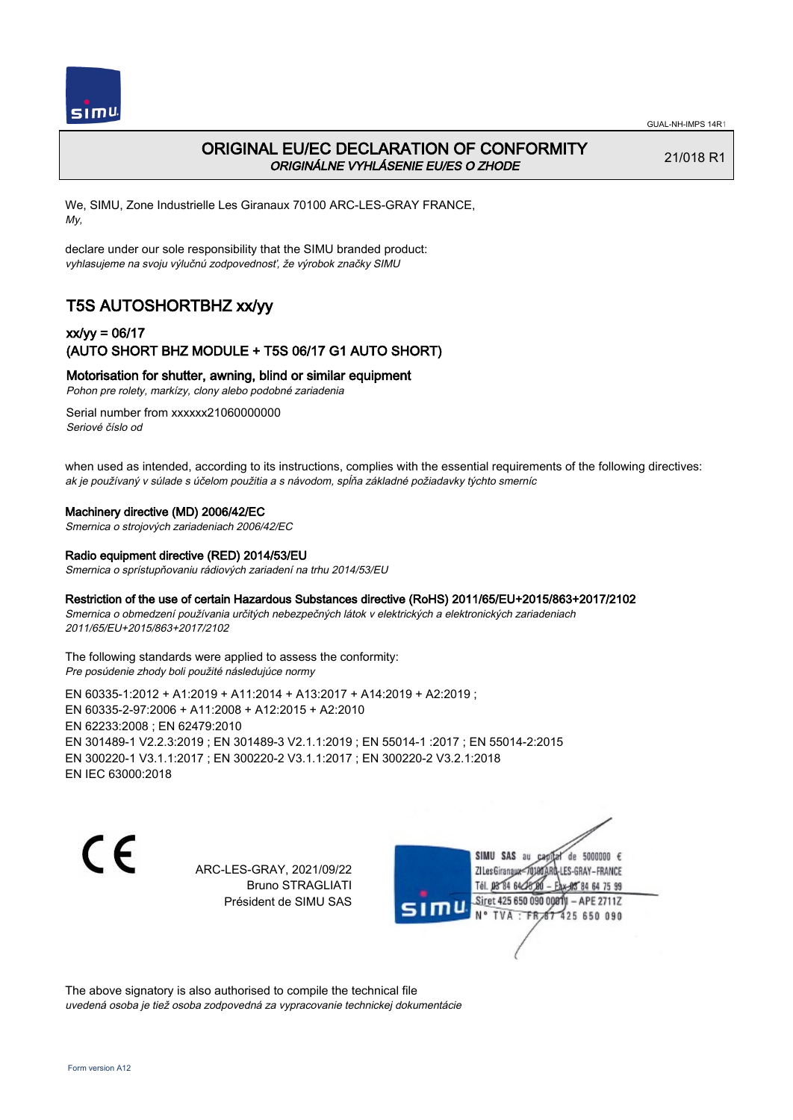

# ORIGINAL EU/EC DECLARATION OF CONFORMITY ORIGINÁLNE VYHLÁSENIE EU/ES O ZHODE

21/018 R1

We, SIMU, Zone Industrielle Les Giranaux 70100 ARC-LES-GRAY FRANCE, My,

declare under our sole responsibility that the SIMU branded product: vyhlasujeme na svoju výlučnú zodpovednosť, že výrobok značky SIMU

# T5S AUTOSHORTBHZ xx/yy

### xx/yy = 06/17 (AUTO SHORT BHZ MODULE + T5S 06/17 G1 AUTO SHORT)

Motorisation for shutter, awning, blind or similar equipment

Pohon pre rolety, markízy, clony alebo podobné zariadenia

Serial number from xxxxxx21060000000 Seriové číslo od

when used as intended, according to its instructions, complies with the essential requirements of the following directives: ak je používaný v súlade s účelom použitia a s návodom, spĺňa základné požiadavky týchto smerníc

### Machinery directive (MD) 2006/42/EC

Smernica o strojových zariadeniach 2006/42/EC

#### Radio equipment directive (RED) 2014/53/EU

Smernica o sprístupňovaniu rádiových zariadení na trhu 2014/53/EU

#### Restriction of the use of certain Hazardous Substances directive (RoHS) 2011/65/EU+2015/863+2017/2102

Smernica o obmedzení používania určitých nebezpečných látok v elektrických a elektronických zariadeniach 2011/65/EU+2015/863+2017/2102

#### The following standards were applied to assess the conformity: Pre posúdenie zhody boli použité následujúce normy

EN 60335‑1:2012 + A1:2019 + A11:2014 + A13:2017 + A14:2019 + A2:2019 ; EN 60335‑2‑97:2006 + A11:2008 + A12:2015 + A2:2010 EN 62233:2008 ; EN 62479:2010 EN 301489‑1 V2.2.3:2019 ; EN 301489‑3 V2.1.1:2019 ; EN 55014‑1 :2017 ; EN 55014‑2:2015 EN 300220‑1 V3.1.1:2017 ; EN 300220‑2 V3.1.1:2017 ; EN 300220‑2 V3.2.1:2018 EN IEC 63000:2018

 $\epsilon$ 

ARC-LES-GRAY, 2021/09/22 Bruno STRAGLIATI Président de SIMU SAS



The above signatory is also authorised to compile the technical file uvedená osoba je tiež osoba zodpovedná za vypracovanie technickej dokumentácie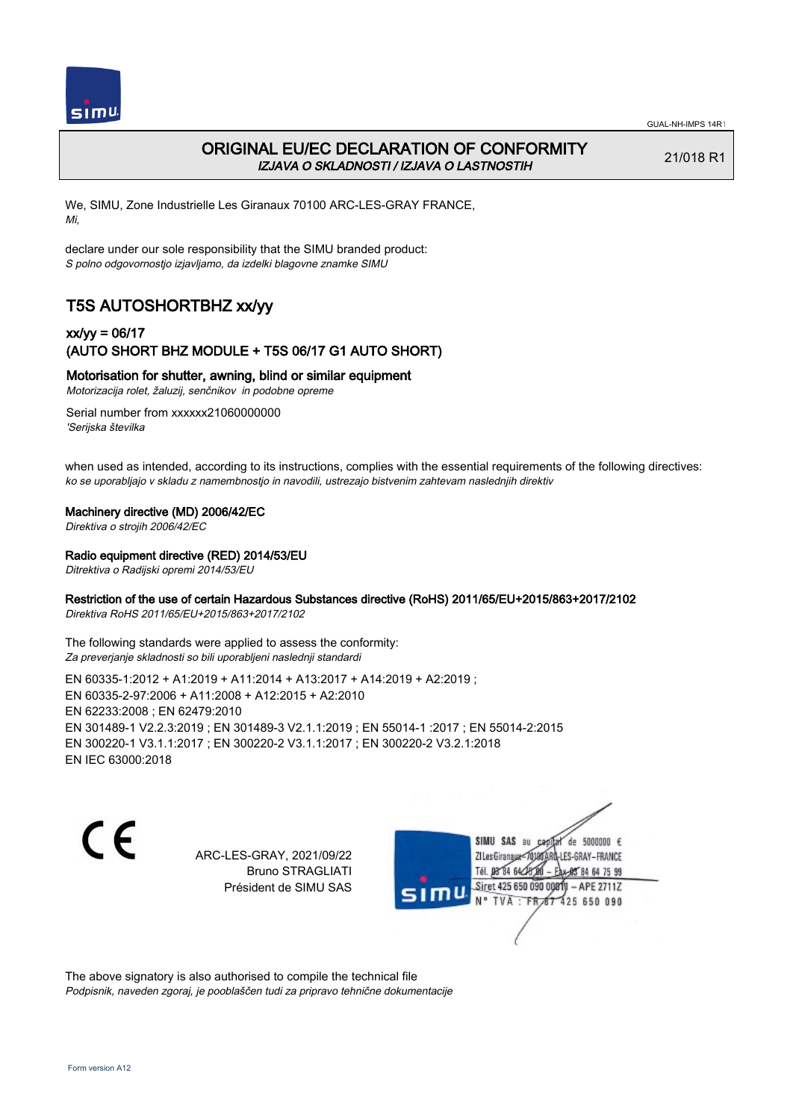

# ORIGINAL EU/EC DECLARATION OF CONFORMITY IZJAVA O SKLADNOSTI / IZJAVA O LASTNOSTIH

21/018 R1

We, SIMU, Zone Industrielle Les Giranaux 70100 ARC-LES-GRAY FRANCE, Mi,

declare under our sole responsibility that the SIMU branded product: S polno odgovornostjo izjavljamo, da izdelki blagovne znamke SIMU

# T5S AUTOSHORTBHZ xx/yy

## xx/yy = 06/17 (AUTO SHORT BHZ MODULE + T5S 06/17 G1 AUTO SHORT)

### Motorisation for shutter, awning, blind or similar equipment

Motorizacija rolet, žaluzij, senčnikov in podobne opreme

Serial number from xxxxxx21060000000 'Serijska številka

when used as intended, according to its instructions, complies with the essential requirements of the following directives: ko se uporabljajo v skladu z namembnostjo in navodili, ustrezajo bistvenim zahtevam naslednjih direktiv

### Machinery directive (MD) 2006/42/EC

Direktiva o strojih 2006/42/EC

### Radio equipment directive (RED) 2014/53/EU

Ditrektiva o Radijski opremi 2014/53/EU

### Restriction of the use of certain Hazardous Substances directive (RoHS) 2011/65/EU+2015/863+2017/2102

Direktiva RoHS 2011/65/EU+2015/863+2017/2102

The following standards were applied to assess the conformity: Za preverjanje skladnosti so bili uporabljeni naslednji standardi

EN 60335‑1:2012 + A1:2019 + A11:2014 + A13:2017 + A14:2019 + A2:2019 ; EN 60335‑2‑97:2006 + A11:2008 + A12:2015 + A2:2010 EN 62233:2008 ; EN 62479:2010 EN 301489‑1 V2.2.3:2019 ; EN 301489‑3 V2.1.1:2019 ; EN 55014‑1 :2017 ; EN 55014‑2:2015 EN 300220‑1 V3.1.1:2017 ; EN 300220‑2 V3.1.1:2017 ; EN 300220‑2 V3.2.1:2018 EN IEC 63000:2018

C E

ARC-LES-GRAY, 2021/09/22 Bruno STRAGLIATI Président de SIMU SAS

de 5000000  $\epsilon$ SIMU SAS au ZI Les Giranaux-70180 LES-GRAY-FRANCE Tél. 08 R4 64 2 64 75 99 Siret 425 650 090 00811  $-$  APF 27117 125 650 090

The above signatory is also authorised to compile the technical file Podpisnik, naveden zgoraj, je pooblaščen tudi za pripravo tehnične dokumentacije